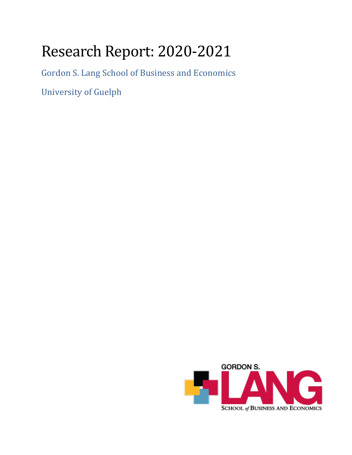# Research Report: 2020-2021

Gordon S. Lang School of Business and Economics

University of Guelph

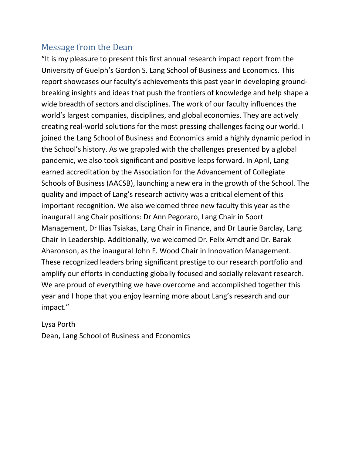### Message from the Dean

"It is my pleasure to present this first annual research impact report from the University of Guelph's Gordon S. Lang School of Business and Economics. This report showcases our faculty's achievements this past year in developing groundbreaking insights and ideas that push the frontiers of knowledge and help shape a wide breadth of sectors and disciplines. The work of our faculty influences the world's largest companies, disciplines, and global economies. They are actively creating real-world solutions for the most pressing challenges facing our world. I joined the Lang School of Business and Economics amid a highly dynamic period in the School's history. As we grappled with the challenges presented by a global pandemic, we also took significant and positive leaps forward. In April, Lang earned accreditation by the Association for the Advancement of Collegiate Schools of Business (AACSB), launching a new era in the growth of the School. The quality and impact of Lang's research activity was a critical element of this important recognition. We also welcomed three new faculty this year as the inaugural Lang Chair positions: Dr Ann Pegoraro, Lang Chair in Sport Management, Dr Ilias Tsiakas, Lang Chair in Finance, and Dr Laurie Barclay, Lang Chair in Leadership. Additionally, we welcomed Dr. Felix Arndt and Dr. Barak Aharonson, as the inaugural John F. Wood Chair in Innovation Management. These recognized leaders bring significant prestige to our research portfolio and amplify our efforts in conducting globally focused and socially relevant research. We are proud of everything we have overcome and accomplished together this year and I hope that you enjoy learning more about Lang's research and our impact."

### Lysa Porth Dean, Lang School of Business and Economics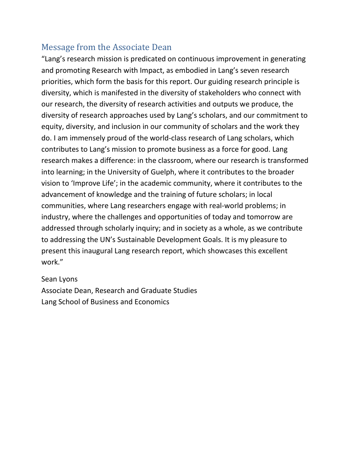## Message from the Associate Dean

"Lang's research mission is predicated on continuous improvement in generating and promoting Research with Impact, as embodied in Lang's seven research priorities, which form the basis for this report. Our guiding research principle is diversity, which is manifested in the diversity of stakeholders who connect with our research, the diversity of research activities and outputs we produce, the diversity of research approaches used by Lang's scholars, and our commitment to equity, diversity, and inclusion in our community of scholars and the work they do. I am immensely proud of the world-class research of Lang scholars, which contributes to Lang's mission to promote business as a force for good. Lang research makes a difference: in the classroom, where our research is transformed into learning; in the University of Guelph, where it contributes to the broader vision to 'Improve Life'; in the academic community, where it contributes to the advancement of knowledge and the training of future scholars; in local communities, where Lang researchers engage with real-world problems; in industry, where the challenges and opportunities of today and tomorrow are addressed through scholarly inquiry; and in society as a whole, as we contribute to addressing the UN's Sustainable Development Goals. It is my pleasure to present this inaugural Lang research report, which showcases this excellent work."

#### Sean Lyons

Associate Dean, Research and Graduate Studies Lang School of Business and Economics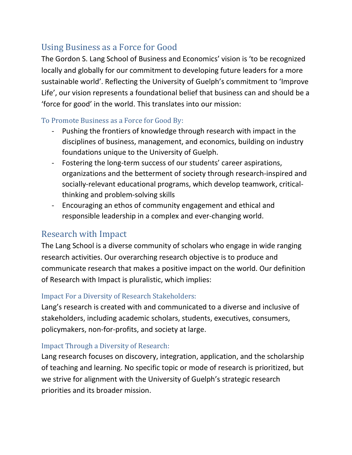## Using Business as a Force for Good

The Gordon S. Lang School of Business and Economics' vision is 'to be recognized locally and globally for our commitment to developing future leaders for a more sustainable world'. Reflecting the University of Guelph's commitment to 'Improve Life', our vision represents a foundational belief that business can and should be a 'force for good' in the world. This translates into our mission:

### To Promote Business as a Force for Good By:

- Pushing the frontiers of knowledge through research with impact in the disciplines of business, management, and economics, building on industry foundations unique to the University of Guelph.
- Fostering the long-term success of our students' career aspirations, organizations and the betterment of society through research-inspired and socially-relevant educational programs, which develop teamwork, criticalthinking and problem-solving skills
- Encouraging an ethos of community engagement and ethical and responsible leadership in a complex and ever-changing world.

## Research with Impact

The Lang School is a diverse community of scholars who engage in wide ranging research activities. Our overarching research objective is to produce and communicate research that makes a positive impact on the world. Our definition of Research with Impact is pluralistic, which implies:

### Impact For a Diversity of Research Stakeholders:

Lang's research is created with and communicated to a diverse and inclusive of stakeholders, including academic scholars, students, executives, consumers, policymakers, non-for-profits, and society at large.

### Impact Through a Diversity of Research:

Lang research focuses on discovery, integration, application, and the scholarship of teaching and learning. No specific topic or mode of research is prioritized, but we strive for alignment with the University of Guelph's strategic research priorities and its broader mission.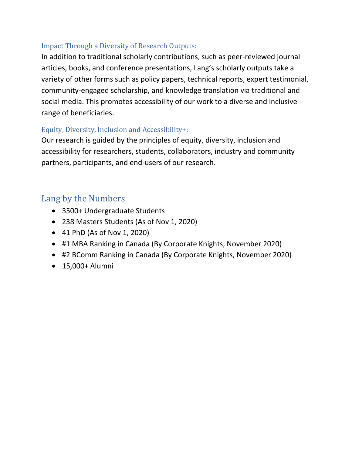### Impact Through a Diversity of Research Outputs:

In addition to traditional scholarly contributions, such as peer-reviewed journal articles, books, and conference presentations, Lang's scholarly outputs take a variety of other forms such as policy papers, technical reports, expert testimonial, community-engaged scholarship, and knowledge translation via traditional and social media. This promotes accessibility of our work to a diverse and inclusive range of beneficiaries.

### Equity, Diversity, Inclusion and Accessibility+:

Our research is guided by the principles of equity, diversity, inclusion and accessibility for researchers, students, collaborators, industry and community partners, participants, and end-users of our research.

## Lang by the Numbers

- 3500+ Undergraduate Students
- 238 Masters Students (As of Nov 1, 2020)
- 41 PhD (As of Nov 1, 2020)
- #1 MBA Ranking in Canada (By Corporate Knights, November 2020)
- #2 BComm Ranking in Canada (By Corporate Knights, November 2020)
- 15,000+ Alumni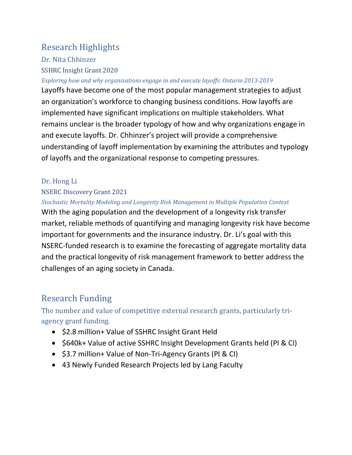## Research Highlights

Dr. Nita Chhinzer SSHRC Insight Grant 2020

#### *Exploring how and why organizations engage in and execute layoffs: Ontario 2013-2019*

Layoffs have become one of the most popular management strategies to adjust an organization's workforce to changing business conditions. How layoffs are implemented have significant implications on multiple stakeholders. What remains unclear is the broader typology of how and why organizations engage in and execute layoffs. Dr. Chhinzer's project will provide a comprehensive understanding of layoff implementation by examining the attributes and typology of layoffs and the organizational response to competing pressures.

### Dr. Hong Li

#### NSERC Discovery Grant 2021

#### *Stochastic Mortality Modeling and Longevity Risk Management in Multiple Population Context*

With the aging population and the development of a longevity risk transfer market, reliable methods of quantifying and managing longevity risk have become important for governments and the insurance industry. Dr. Li's goal with this NSERC-funded research is to examine the forecasting of aggregate mortality data and the practical longevity of risk management framework to better address the challenges of an aging society in Canada.

## Research Funding

The number and value of competitive external research grants, particularly triagency grant funding.

- \$2.8 million+ Value of SSHRC Insight Grant Held
- \$640k+ Value of active SSHRC Insight Development Grants held (PI & CI)
- \$3.7 million+ Value of Non-Tri-Agency Grants (PI & CI)
- 43 Newly Funded Research Projects led by Lang Faculty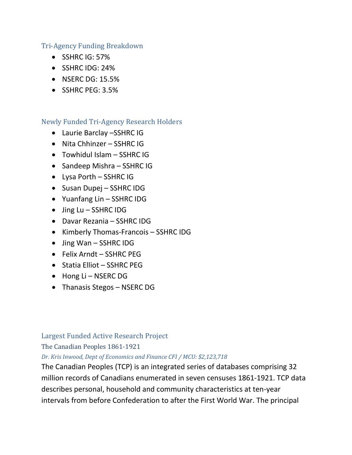#### Tri-Agency Funding Breakdown

- SSHRC IG: 57%
- SSHRC IDG: 24%
- NSERC DG: 15.5%
- SSHRC PEG: 3.5%

#### Newly Funded Tri-Agency Research Holders

- Laurie Barclay –SSHRC IG
- Nita Chhinzer SSHRC IG
- Towhidul Islam SSHRC IG
- Sandeep Mishra SSHRC IG
- Lysa Porth SSHRC IG
- Susan Dupej SSHRC IDG
- Yuanfang Lin SSHRC IDG
- Jing Lu SSHRC IDG
- Davar Rezania SSHRC IDG
- Kimberly Thomas-Francois SSHRC IDG
- Jing Wan SSHRC IDG
- Felix Arndt SSHRC PEG
- Statia Elliot SSHRC PEG
- Hong Li NSERC DG
- Thanasis Stegos NSERC DG

#### Largest Funded Active Research Project

The Canadian Peoples 1861-1921

#### *Dr. Kris Inwood, Dept of Economics and Finance CFI / MCU: \$2,123,718*

The Canadian Peoples (TCP) is an integrated series of databases comprising 32 million records of Canadians enumerated in seven censuses 1861-1921. TCP data describes personal, household and community characteristics at ten-year intervals from before Confederation to after the First World War. The principal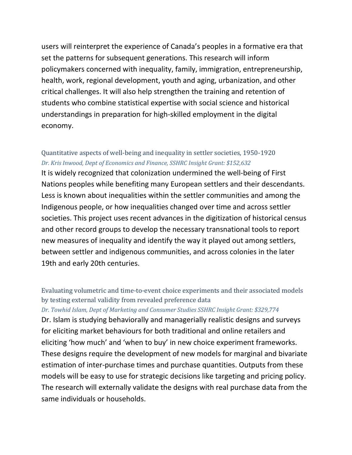users will reinterpret the experience of Canada's peoples in a formative era that set the patterns for subsequent generations. This research will inform policymakers concerned with inequality, family, immigration, entrepreneurship, health, work, regional development, youth and aging, urbanization, and other critical challenges. It will also help strengthen the training and retention of students who combine statistical expertise with social science and historical understandings in preparation for high-skilled employment in the digital economy.

#### Quantitative aspects of well-being and inequality in settler societies, 1950-1920 *Dr. Kris Inwood, Dept of Economics and Finance, SSHRC Insight Grant: \$152,632*

It is widely recognized that colonization undermined the well-being of First Nations peoples while benefiting many European settlers and their descendants. Less is known about inequalities within the settler communities and among the Indigenous people, or how inequalities changed over time and across settler societies. This project uses recent advances in the digitization of historical census and other record groups to develop the necessary transnational tools to report new measures of inequality and identify the way it played out among settlers, between settler and indigenous communities, and across colonies in the later 19th and early 20th centuries.

### Evaluating volumetric and time-to-event choice experiments and their associated models by testing external validity from revealed preference data

#### *Dr. Towhid Islam, Dept of Marketing and Consumer Studies SSHRC Insight Grant: \$329,774*

Dr. Islam is studying behaviorally and managerially realistic designs and surveys for eliciting market behaviours for both traditional and online retailers and eliciting 'how much' and 'when to buy' in new choice experiment frameworks. These designs require the development of new models for marginal and bivariate estimation of inter-purchase times and purchase quantities. Outputs from these models will be easy to use for strategic decisions like targeting and pricing policy. The research will externally validate the designs with real purchase data from the same individuals or households.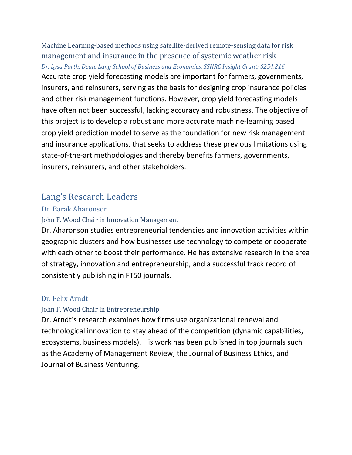Machine Learning-based methods using satellite-derived remote-sensing data for risk management and insurance in the presence of systemic weather risk *Dr. Lysa Porth, Dean, Lang School of Business and Economics, SSHRC Insight Grant: \$254,216* Accurate crop yield forecasting models are important for farmers, governments, insurers, and reinsurers, serving as the basis for designing crop insurance policies and other risk management functions. However, crop yield forecasting models have often not been successful, lacking accuracy and robustness. The objective of this project is to develop a robust and more accurate machine-learning based crop yield prediction model to serve as the foundation for new risk management and insurance applications, that seeks to address these previous limitations using state-of-the-art methodologies and thereby benefits farmers, governments, insurers, reinsurers, and other stakeholders.

### Lang's Research Leaders

#### Dr. Barak Aharonson

#### John F. Wood Chair in Innovation Management

Dr. Aharonson studies entrepreneurial tendencies and innovation activities within geographic clusters and how businesses use technology to compete or cooperate with each other to boost their performance. He has extensive research in the area of strategy, innovation and entrepreneurship, and a successful track record of consistently publishing in FT50 journals.

#### Dr. Felix Arndt

#### John F. Wood Chair in Entrepreneurship

Dr. Arndt's research examines how firms use organizational renewal and technological innovation to stay ahead of the competition (dynamic capabilities, ecosystems, business models). His work has been published in top journals such as the Academy of Management Review, the Journal of Business Ethics, and Journal of Business Venturing.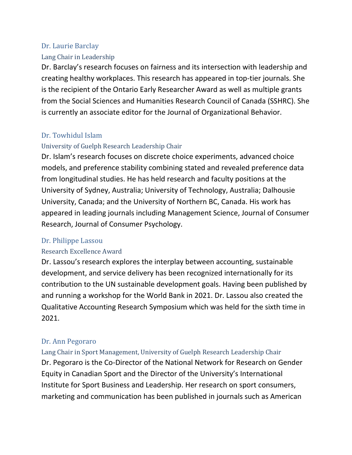#### Dr. Laurie Barclay

#### Lang Chair in Leadership

Dr. Barclay's research focuses on fairness and its intersection with leadership and creating healthy workplaces. This research has appeared in top-tier journals. She is the recipient of the Ontario Early Researcher Award as well as multiple grants from the Social Sciences and Humanities Research Council of Canada (SSHRC). She is currently an associate editor for the Journal of Organizational Behavior.

### Dr. Towhidul Islam

#### University of Guelph Research Leadership Chair

Dr. Islam's research focuses on discrete choice experiments, advanced choice models, and preference stability combining stated and revealed preference data from longitudinal studies. He has held research and faculty positions at the University of Sydney, Australia; University of Technology, Australia; Dalhousie University, Canada; and the University of Northern BC, Canada. His work has appeared in leading journals including Management Science, Journal of Consumer Research, Journal of Consumer Psychology.

#### Dr. Philippe Lassou

#### Research Excellence Award

Dr. Lassou's research explores the interplay between accounting, sustainable development, and service delivery has been recognized internationally for its contribution to the UN sustainable development goals. Having been published by and running a workshop for the World Bank in 2021. Dr. Lassou also created the Qualitative Accounting Research Symposium which was held for the sixth time in 2021.

### Dr. Ann Pegoraro

Lang Chair in Sport Management, University of Guelph Research Leadership Chair Dr. Pegoraro is the Co-Director of the National Network for Research on Gender Equity in Canadian Sport and the Director of the University's International Institute for Sport Business and Leadership. Her research on sport consumers, marketing and communication has been published in journals such as American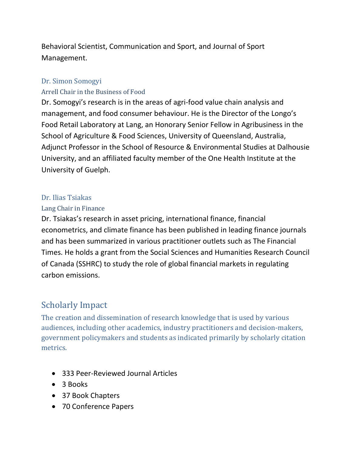Behavioral Scientist, Communication and Sport, and Journal of Sport Management.

#### Dr. Simon Somogyi

#### Arrell Chair in the Business of Food

Dr. Somogyi's research is in the areas of agri-food value chain analysis and management, and food consumer behaviour. He is the Director of the Longo's Food Retail Laboratory at Lang, an Honorary Senior Fellow in Agribusiness in the School of Agriculture & Food Sciences, University of Queensland, Australia, Adjunct Professor in the School of Resource & Environmental Studies at Dalhousie University, and an affiliated faculty member of the One Health Institute at the University of Guelph.

#### Dr. Ilias Tsiakas

#### Lang Chair in Finance

Dr. Tsiakas's research in asset pricing, international finance, financial econometrics, and climate finance has been published in leading finance journals and has been summarized in various practitioner outlets such as The Financial Times. He holds a grant from the Social Sciences and Humanities Research Council of Canada (SSHRC) to study the role of global financial markets in regulating carbon emissions.

### Scholarly Impact

The creation and dissemination of research knowledge that is used by various audiences, including other academics, industry practitioners and decision-makers, government policymakers and students as indicated primarily by scholarly citation metrics.

- 333 Peer-Reviewed Journal Articles
- 3 Books
- 37 Book Chapters
- 70 Conference Papers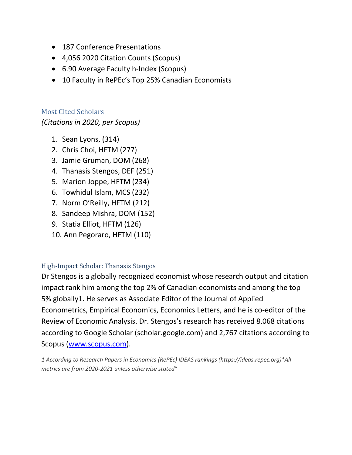- 187 Conference Presentations
- 4,056 2020 Citation Counts (Scopus)
- 6.90 Average Faculty h-Index (Scopus)
- 10 Faculty in RePEc's Top 25% Canadian Economists

Most Cited Scholars *(Citations in 2020, per Scopus)* 

- 1. Sean Lyons, (314)
- 2. Chris Choi, HFTM (277)
- 3. Jamie Gruman, DOM (268)
- 4. Thanasis Stengos, DEF (251)
- 5. Marion Joppe, HFTM (234)
- 6. Towhidul Islam, MCS (232)
- 7. Norm O'Reilly, HFTM (212)
- 8. Sandeep Mishra, DOM (152)
- 9. Statia Elliot, HFTM (126)
- 10. Ann Pegoraro, HFTM (110)

#### High-Impact Scholar: Thanasis Stengos

Dr Stengos is a globally recognized economist whose research output and citation impact rank him among the top 2% of Canadian economists and among the top 5% globally1. He serves as Associate Editor of the Journal of Applied Econometrics, Empirical Economics, Economics Letters, and he is co-editor of the Review of Economic Analysis. Dr. Stengos's research has received 8,068 citations according to Google Scholar (scholar.google.com) and 2,767 citations according to Scopus [\(www.scopus.com\)](http://www.scopus.com/).

*1 According to Research Papers in Economics (RePEc) IDEAS rankings (https://ideas.repec.org)\*All metrics are from 2020-2021 unless otherwise stated"*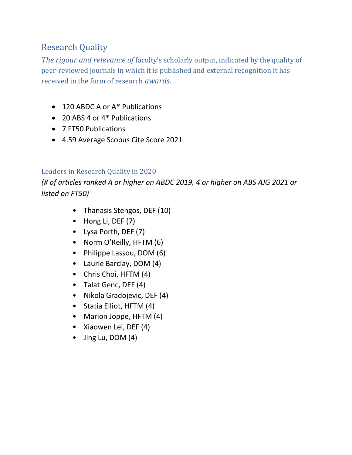## Research Quality

*The rigour and relevance of* faculty's scholarly output, indicated by the quality of peer-reviewed journals in which it is published and external recognition it has received in the form of research *awards*.

- 120 ABDC A or A\* Publications
- 20 ABS 4 or 4<sup>\*</sup> Publications
- 7 FT50 Publications
- 4.59 Average Scopus Cite Score 2021

### Leaders in Research Quality in 2020

*(# of articles ranked A or higher on ABDC 2019, 4 or higher on ABS AJG 2021 or listed on FT50)*

- Thanasis Stengos, DEF (10)
- Hong Li, DEF (7)
- Lysa Porth, DEF (7)
- Norm O'Reilly, HFTM (6)
- Philippe Lassou, DOM (6)
- Laurie Barclay, DOM (4)
- Chris Choi, HFTM (4)
- Talat Genc, DEF (4)
- Nikola Gradojevic, DEF (4)
- Statia Elliot, HFTM (4)
- Marion Joppe, HFTM (4)
- Xiaowen Lei, DEF (4)
- Jing Lu, DOM (4)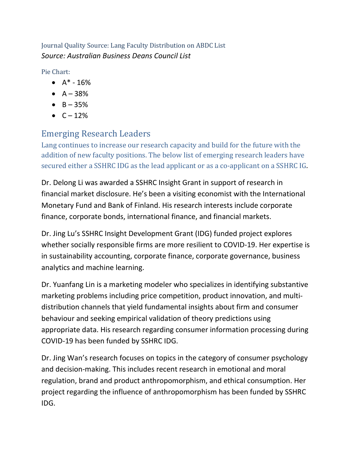Journal Quality Source: Lang Faculty Distribution on ABDC List *Source: Australian Business Deans Council List* 

Pie Chart:

- $A^* 16%$
- $A 38%$
- $-B 35%$
- $\bullet \quad C 12\%$

## Emerging Research Leaders

Lang continues to increase our research capacity and build for the future with the addition of new faculty positions. The below list of emerging research leaders have secured either a SSHRC IDG as the lead applicant or as a co-applicant on a SSHRC IG*.* 

Dr. Delong Li was awarded a SSHRC Insight Grant in support of research in financial market disclosure. He's been a visiting economist with the International Monetary Fund and Bank of Finland. His research interests include corporate finance, corporate bonds, international finance, and financial markets.

Dr. Jing Lu's SSHRC Insight Development Grant (IDG) funded project explores whether socially responsible firms are more resilient to COVID-19. Her expertise is in sustainability accounting, corporate finance, corporate governance, business analytics and machine learning.

Dr. Yuanfang Lin is a marketing modeler who specializes in identifying substantive marketing problems including price competition, product innovation, and multidistribution channels that yield fundamental insights about firm and consumer behaviour and seeking empirical validation of theory predictions using appropriate data. His research regarding consumer information processing during COVID-19 has been funded by SSHRC IDG.

Dr. Jing Wan's research focuses on topics in the category of consumer psychology and decision-making. This includes recent research in emotional and moral regulation, brand and product anthropomorphism, and ethical consumption. Her project regarding the influence of anthropomorphism has been funded by SSHRC IDG.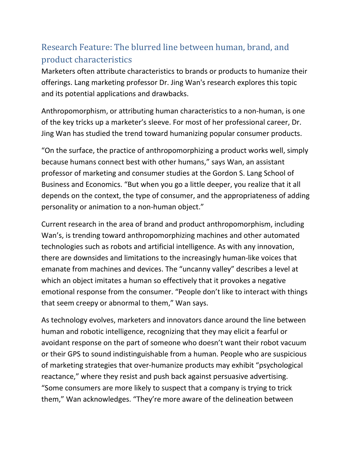## Research Feature: The blurred line between human, brand, and product characteristics

Marketers often attribute characteristics to brands or products to humanize their offerings. Lang marketing professor Dr. Jing Wan's research explores this topic and its potential applications and drawbacks.

Anthropomorphism, or attributing human characteristics to a non-human, is one of the key tricks up a marketer's sleeve. For most of her professional career, Dr. Jing Wan has studied the trend toward humanizing popular consumer products.

"On the surface, the practice of anthropomorphizing a product works well, simply because humans connect best with other humans," says Wan, an assistant professor of marketing and consumer studies at the Gordon S. Lang School of Business and Economics. "But when you go a little deeper, you realize that it all depends on the context, the type of consumer, and the appropriateness of adding personality or animation to a non-human object."

Current research in the area of brand and product anthropomorphism, including Wan's, is trending toward anthropomorphizing machines and other automated technologies such as robots and artificial intelligence. As with any innovation, there are downsides and limitations to the increasingly human-like voices that emanate from machines and devices. The "uncanny valley" describes a level at which an object imitates a human so effectively that it provokes a negative emotional response from the consumer. "People don't like to interact with things that seem creepy or abnormal to them," Wan says.

As technology evolves, marketers and innovators dance around the line between human and robotic intelligence, recognizing that they may elicit a fearful or avoidant response on the part of someone who doesn't want their robot vacuum or their GPS to sound indistinguishable from a human. People who are suspicious of marketing strategies that over-humanize products may exhibit "psychological reactance," where they resist and push back against persuasive advertising. "Some consumers are more likely to suspect that a company is trying to trick them," Wan acknowledges. "They're more aware of the delineation between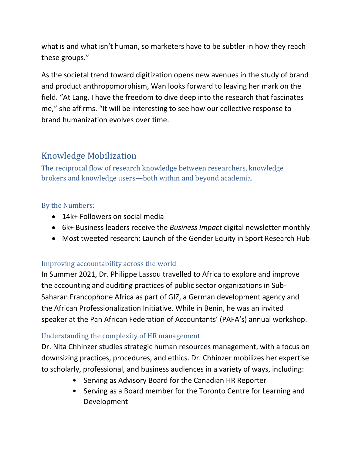what is and what isn't human, so marketers have to be subtler in how they reach these groups."

As the societal trend toward digitization opens new avenues in the study of brand and product anthropomorphism, Wan looks forward to leaving her mark on the field. "At Lang, I have the freedom to dive deep into the research that fascinates me," she affirms. "It will be interesting to see how our collective response to brand humanization evolves over time.

## Knowledge Mobilization

The reciprocal flow of research knowledge between researchers, knowledge brokers and knowledge users—both within and beyond academia.

### By the Numbers:

- 14k+ Followers on social media
- 6k+ Business leaders receive the *Business Impact* digital newsletter monthly
- Most tweeted research: Launch of the Gender Equity in Sport Research Hub

### Improving accountability across the world

In Summer 2021, Dr. Philippe Lassou travelled to Africa to explore and improve the accounting and auditing practices of public sector organizations in Sub-Saharan Francophone Africa as part of GIZ, a German development agency and the African Professionalization Initiative. While in Benin, he was an invited speaker at the Pan African Federation of Accountants' (PAFA's) annual workshop.

### Understanding the complexity of HR management

Dr. Nita Chhinzer studies strategic human resources management, with a focus on downsizing practices, procedures, and ethics. Dr. Chhinzer mobilizes her expertise to scholarly, professional, and business audiences in a variety of ways, including:

- Serving as Advisory Board for the Canadian HR Reporter
- Serving as a Board member for the Toronto Centre for Learning and Development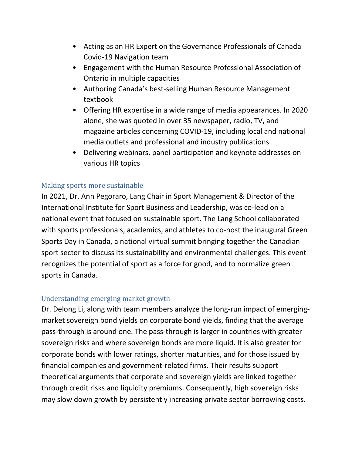- Acting as an HR Expert on the Governance Professionals of Canada Covid-19 Navigation team
- Engagement with the Human Resource Professional Association of Ontario in multiple capacities
- Authoring Canada's best-selling Human Resource Management textbook
- Offering HR expertise in a wide range of media appearances. In 2020 alone, she was quoted in over 35 newspaper, radio, TV, and magazine articles concerning COVID-19, including local and national media outlets and professional and industry publications
- Delivering webinars, panel participation and keynote addresses on various HR topics

### Making sports more sustainable

In 2021, Dr. Ann Pegoraro, Lang Chair in Sport Management & Director of the International Institute for Sport Business and Leadership, was co-lead on a national event that focused on sustainable sport. The Lang School collaborated with sports professionals, academics, and athletes to co-host the inaugural Green Sports Day in Canada, a national virtual summit bringing together the Canadian sport sector to discuss its sustainability and environmental challenges. This event recognizes the potential of sport as a force for good, and to normalize green sports in Canada.

#### Understanding emerging market growth

Dr. Delong Li, along with team members analyze the long-run impact of emergingmarket sovereign bond yields on corporate bond yields, finding that the average pass-through is around one. The pass-through is larger in countries with greater sovereign risks and where sovereign bonds are more liquid. It is also greater for corporate bonds with lower ratings, shorter maturities, and for those issued by financial companies and government-related firms. Their results support theoretical arguments that corporate and sovereign yields are linked together through credit risks and liquidity premiums. Consequently, high sovereign risks may slow down growth by persistently increasing private sector borrowing costs.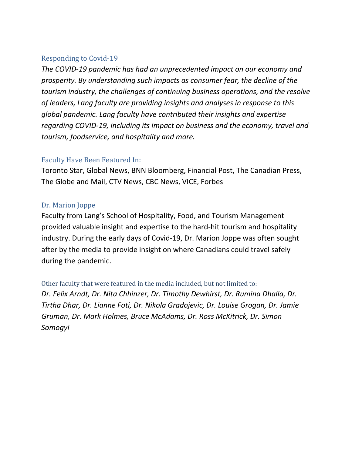#### Responding to Covid-19

*The COVID-19 pandemic has had an unprecedented impact on our economy and prosperity. By understanding such impacts as consumer fear, the decline of the tourism industry, the challenges of continuing business operations, and the resolve of leaders, Lang faculty are providing insights and analyses in response to this global pandemic. Lang faculty have contributed their insights and expertise regarding COVID-19, including its impact on business and the economy, travel and tourism, foodservice, and hospitality and more.*

### Faculty Have Been Featured In:

Toronto Star, Global News, BNN Bloomberg, Financial Post, The Canadian Press, The Globe and Mail, CTV News, CBC News, VICE, Forbes

### Dr. Marion Joppe

Faculty from Lang's School of Hospitality, Food, and Tourism Management provided valuable insight and expertise to the hard-hit tourism and hospitality industry. During the early days of Covid-19, Dr. Marion Joppe was often sought after by the media to provide insight on where Canadians could travel safely during the pandemic.

Other faculty that were featured in the media included, but not limited to: *Dr. Felix Arndt, Dr. Nita Chhinzer, Dr. Timothy Dewhirst, Dr. Rumina Dhalla, Dr. Tirtha Dhar, Dr. Lianne Foti, Dr. Nikola Gradojevic, Dr. Louise Grogan, Dr. Jamie Gruman, Dr. Mark Holmes, Bruce McAdams, Dr. Ross McKitrick, Dr. Simon Somogyi*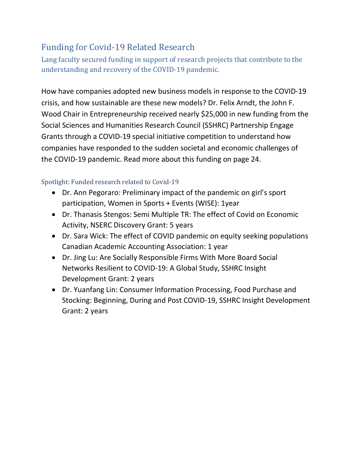## Funding for Covid-19 Related Research

Lang faculty secured funding in support of research projects that contribute to the understanding and recovery of the COVID-19 pandemic.

How have companies adopted new business models in response to the COVID-19 crisis, and how sustainable are these new models? Dr. Felix Arndt, the John F. Wood Chair in Entrepreneurship received nearly \$25,000 in new funding from the Social Sciences and Humanities Research Council (SSHRC) Partnership Engage Grants through a COVID-19 special initiative competition to understand how companies have responded to the sudden societal and economic challenges of the COVID-19 pandemic. Read more about this funding on page 24.

### Spotlight: Funded research related to Covid-19

- Dr. Ann Pegoraro: Preliminary impact of the pandemic on girl's sport participation, Women in Sports + Events (WISE): 1year
- Dr. Thanasis Stengos: Semi Multiple TR: The effect of Covid on Economic Activity, NSERC Discovery Grant: 5 years
- Dr. Sara Wick: The effect of COVID pandemic on equity seeking populations Canadian Academic Accounting Association: 1 year
- Dr. Jing Lu: Are Socially Responsible Firms With More Board Social Networks Resilient to COVID-19: A Global Study, SSHRC Insight Development Grant: 2 years
- Dr. Yuanfang Lin: Consumer Information Processing, Food Purchase and Stocking: Beginning, During and Post COVID-19, SSHRC Insight Development Grant: 2 years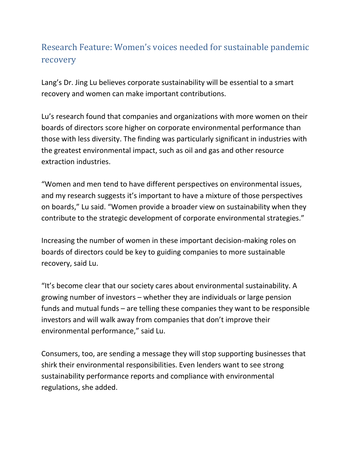## Research Feature: Women's voices needed for sustainable pandemic recovery

Lang's Dr. Jing Lu believes corporate sustainability will be essential to a smart recovery and women can make important contributions.

Lu's research found that companies and organizations with more women on their boards of directors score higher on corporate environmental performance than those with less diversity. The finding was particularly significant in industries with the greatest environmental impact, such as oil and gas and other resource extraction industries.

"Women and men tend to have different perspectives on environmental issues, and my research suggests it's important to have a mixture of those perspectives on boards," Lu said. "Women provide a broader view on sustainability when they contribute to the strategic development of corporate environmental strategies."

Increasing the number of women in these important decision-making roles on boards of directors could be key to guiding companies to more sustainable recovery, said Lu.

"It's become clear that our society cares about environmental sustainability. A growing number of investors – whether they are individuals or large pension funds and mutual funds – are telling these companies they want to be responsible investors and will walk away from companies that don't improve their environmental performance," said Lu.

Consumers, too, are sending a message they will stop supporting businesses that shirk their environmental responsibilities. Even lenders want to see strong sustainability performance reports and compliance with environmental regulations, she added.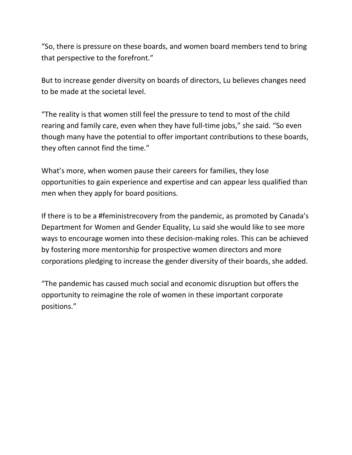"So, there is pressure on these boards, and women board members tend to bring that perspective to the forefront."

But to increase gender diversity on boards of directors, Lu believes changes need to be made at the societal level.

"The reality is that women still feel the pressure to tend to most of the child rearing and family care, even when they have full-time jobs," she said. "So even though many have the potential to offer important contributions to these boards, they often cannot find the time."

What's more, when women pause their careers for families, they lose opportunities to gain experience and expertise and can appear less qualified than men when they apply for board positions.

If there is to be a #feministrecovery from the pandemic, as promoted by Canada's Department for Women and Gender Equality, Lu said she would like to see more ways to encourage women into these decision-making roles. This can be achieved by fostering more mentorship for prospective women directors and more corporations pledging to increase the gender diversity of their boards, she added.

"The pandemic has caused much social and economic disruption but offers the opportunity to reimagine the role of women in these important corporate positions."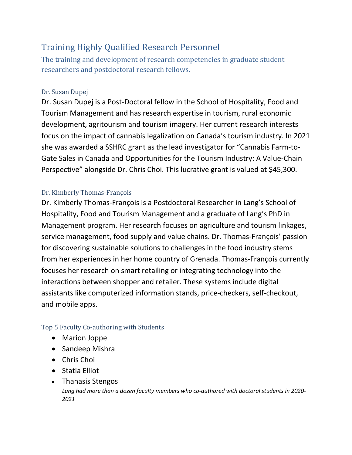## Training Highly Qualified Research Personnel

The training and development of research competencies in graduate student researchers and postdoctoral research fellows.

### Dr. Susan Dupej

Dr. Susan Dupej is a Post-Doctoral fellow in the School of Hospitality, Food and Tourism Management and has research expertise in tourism, rural economic development, agritourism and tourism imagery. Her current research interests focus on the impact of cannabis legalization on Canada's tourism industry. In 2021 she was awarded a SSHRC grant as the lead investigator for "Cannabis Farm-to-Gate Sales in Canada and Opportunities for the Tourism Industry: A Value-Chain Perspective" alongside Dr. Chris Choi. This lucrative grant is valued at \$45,300.

### Dr. Kimberly Thomas-François

Dr. Kimberly Thomas-François is a Postdoctoral Researcher in Lang's School of Hospitality, Food and Tourism Management and a graduate of Lang's PhD in Management program. Her research focuses on agriculture and tourism linkages, service management, food supply and value chains. Dr. Thomas-François' passion for discovering sustainable solutions to challenges in the food industry stems from her experiences in her home country of Grenada. Thomas-François currently focuses her research on smart retailing or integrating technology into the interactions between shopper and retailer. These systems include digital assistants like computerized information stands, price-checkers, self-checkout, and mobile apps.

#### Top 5 Faculty Co-authoring with Students

- Marion Joppe
- Sandeep Mishra
- Chris Choi
- Statia Elliot
- Thanasis Stengos *Lang had more than a dozen faculty members who co-authored with doctoral students in 2020- 2021*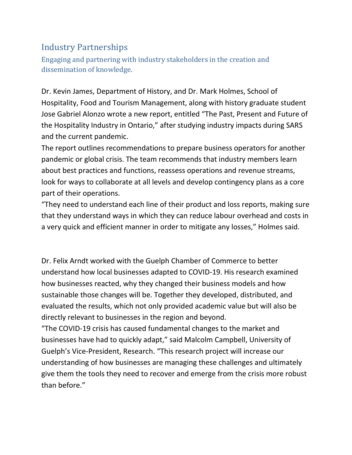## Industry Partnerships

Engaging and partnering with industry stakeholders in the creation and dissemination of knowledge.

Dr. Kevin James, Department of History, and Dr. Mark Holmes, School of Hospitality, Food and Tourism Management, along with history graduate student Jose Gabriel Alonzo wrote a new report, entitled "The Past, Present and Future of the Hospitality Industry in Ontario," after studying industry impacts during SARS and the current pandemic.

The report outlines recommendations to prepare business operators for another pandemic or global crisis. The team recommends that industry members learn about best practices and functions, reassess operations and revenue streams, look for ways to collaborate at all levels and develop contingency plans as a core part of their operations.

"They need to understand each line of their product and loss reports, making sure that they understand ways in which they can reduce labour overhead and costs in a very quick and efficient manner in order to mitigate any losses," Holmes said.

Dr. Felix Arndt worked with the Guelph Chamber of Commerce to better understand how local businesses adapted to COVID-19. His research examined how businesses reacted, why they changed their business models and how sustainable those changes will be. Together they developed, distributed, and evaluated the results, which not only provided academic value but will also be directly relevant to businesses in the region and beyond.

"The COVID-19 crisis has caused fundamental changes to the market and businesses have had to quickly adapt," said Malcolm Campbell, University of Guelph's Vice-President, Research. "This research project will increase our understanding of how businesses are managing these challenges and ultimately give them the tools they need to recover and emerge from the crisis more robust than before."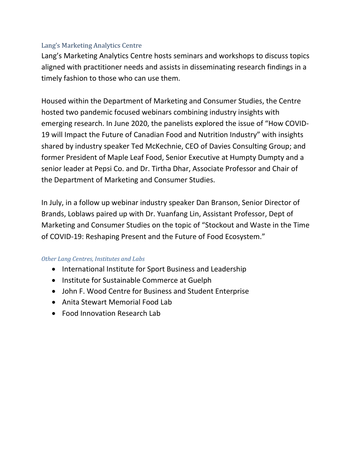#### Lang's Marketing Analytics Centre

Lang's Marketing Analytics Centre hosts seminars and workshops to discuss topics aligned with practitioner needs and assists in disseminating research findings in a timely fashion to those who can use them.

Housed within the Department of Marketing and Consumer Studies, the Centre hosted two pandemic focused webinars combining industry insights with emerging research. In June 2020, the panelists explored the issue of "How COVID-19 will Impact the Future of Canadian Food and Nutrition Industry" with insights shared by industry speaker Ted McKechnie, CEO of Davies Consulting Group; and former President of Maple Leaf Food, Senior Executive at Humpty Dumpty and a senior leader at Pepsi Co. and Dr. Tirtha Dhar, Associate Professor and Chair of the Department of Marketing and Consumer Studies.

In July, in a follow up webinar industry speaker Dan Branson, Senior Director of Brands, Loblaws paired up with Dr. Yuanfang Lin, Assistant Professor, Dept of Marketing and Consumer Studies on the topic of "Stockout and Waste in the Time of COVID-19: Reshaping Present and the Future of Food Ecosystem."

#### *Other Lang Centres, Institutes and Labs*

- International Institute for Sport Business and Leadership
- Institute for Sustainable Commerce at Guelph
- John F. Wood Centre for Business and Student Enterprise
- Anita Stewart Memorial Food Lab
- Food Innovation Research Lab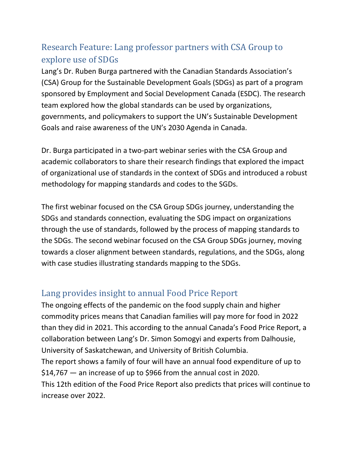## Research Feature: Lang professor partners with CSA Group to explore use of SDGs

Lang's Dr. Ruben Burga partnered with the Canadian Standards Association's (CSA) Group for the Sustainable Development Goals (SDGs) as part of a program sponsored by Employment and Social Development Canada (ESDC). The research team explored how the global standards can be used by organizations, governments, and policymakers to support the UN's Sustainable Development Goals and raise awareness of the UN's 2030 Agenda in Canada.

Dr. Burga participated in a two-part webinar series with the CSA Group and academic collaborators to share their research findings that explored the impact of organizational use of standards in the context of SDGs and introduced a robust methodology for mapping standards and codes to the SGDs.

The first webinar focused on the CSA Group SDGs journey, understanding the SDGs and standards connection, evaluating the SDG impact on organizations through the use of standards, followed by the process of mapping standards to the SDGs. The second webinar focused on the CSA Group SDGs journey, moving towards a closer alignment between standards, regulations, and the SDGs, along with case studies illustrating standards mapping to the SDGs.

## Lang provides insight to annual Food Price Report

The ongoing effects of the pandemic on the food supply chain and higher commodity prices means that Canadian families will pay more for food in 2022 than they did in 2021. This according to the annual Canada's Food Price Report, a collaboration between Lang's Dr. Simon Somogyi and experts from Dalhousie, University of Saskatchewan, and University of British Columbia. The report shows a family of four will have an annual food expenditure of up to \$14,767 — an increase of up to \$966 from the annual cost in 2020. This 12th edition of the Food Price Report also predicts that prices will continue to increase over 2022.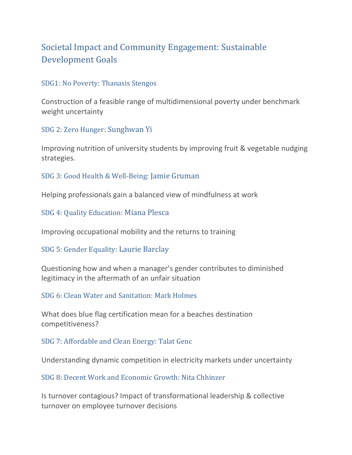## Societal Impact and Community Engagement: Sustainable Development Goals

#### SDG1: No Poverty: Thanasis Stengos

Construction of a feasible range of multidimensional poverty under benchmark weight uncertainty

SDG 2: Zero Hunger: Sunghwan Yi

Improving nutrition of university students by improving fruit & vegetable nudging strategies.

SDG 3: Good Health & Well-Being: Jamie Gruman

Helping professionals gain a balanced view of mindfulness at work

SDG 4: Quality Education: Miana Plesca

Improving occupational mobility and the returns to training

SDG 5: Gender Equality: Laurie Barclay

Questioning how and when a manager's gender contributes to diminished legitimacy in the aftermath of an unfair situation

SDG 6: Clean Water and Sanitation: Mark Holmes

What does blue flag certification mean for a beaches destination competitiveness?

SDG 7: Affordable and Clean Energy: Talat Genc

Understanding dynamic competition in electricity markets under uncertainty

SDG 8: Decent Work and Economic Growth: Nita Chhinzer

Is turnover contagious? Impact of transformational leadership & collective turnover on employee turnover decisions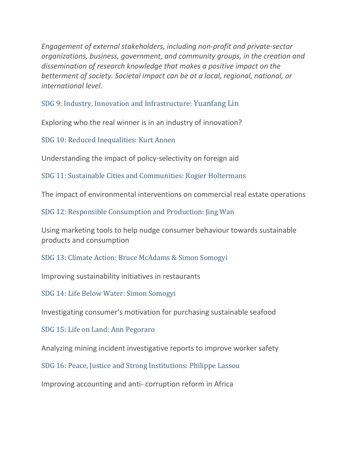*Engagement of external stakeholders, including non-profit and private-sector organizations, business, government, and community groups, in the creation and dissemination of research knowledge that makes a positive impact on the betterment of society. Societal impact can be at a local, regional, national, or international level.*

#### SDG 9: Industry, Innovation and Infrastructure: Yuanfang Lin

Exploring who the real winner is in an industry of innovation?

SDG 10: Reduced Inequalities: Kurt Annen

Understanding the impact of policy-selectivity on foreign aid

SDG 11: Sustainable Cities and Communities: Rogier Holtermans

The impact of environmental interventions on commercial real estate operations

SDG 12: Responsible Consumption and Production: Jing Wan

Using marketing tools to help nudge consumer behaviour towards sustainable products and consumption

SDG 13: Climate Action: Bruce McAdams & Simon Somogyi

Improving sustainability initiatives in restaurants

SDG 14: Life Below Water: Simon Somogyi

Investigating consumer's motivation for purchasing sustainable seafood

SDG 15: Life on Land: Ann Pegoraro

Analyzing mining incident investigative reports to improve worker safety

SDG 16: Peace, Justice and Strong Institutions: Philippe Lassou

Improving accounting and anti- corruption reform in Africa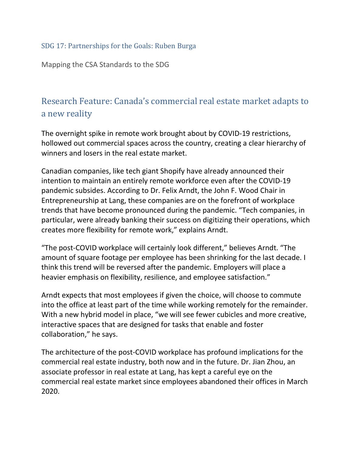### SDG 17: Partnerships for the Goals: Ruben Burga

Mapping the CSA Standards to the SDG

## Research Feature: Canada's commercial real estate market adapts to a new reality

The overnight spike in remote work brought about by COVID-19 restrictions, hollowed out commercial spaces across the country, creating a clear hierarchy of winners and losers in the real estate market.

Canadian companies, like tech giant Shopify have already announced their intention to maintain an entirely remote workforce even after the COVID-19 pandemic subsides. According to Dr. Felix Arndt, the John F. Wood Chair in Entrepreneurship at Lang, these companies are on the forefront of workplace trends that have become pronounced during the pandemic. "Tech companies, in particular, were already banking their success on digitizing their operations, which creates more flexibility for remote work," explains Arndt.

"The post-COVID workplace will certainly look different," believes Arndt. "The amount of square footage per employee has been shrinking for the last decade. I think this trend will be reversed after the pandemic. Employers will place a heavier emphasis on flexibility, resilience, and employee satisfaction."

Arndt expects that most employees if given the choice, will choose to commute into the office at least part of the time while working remotely for the remainder. With a new hybrid model in place, "we will see fewer cubicles and more creative, interactive spaces that are designed for tasks that enable and foster collaboration," he says.

The architecture of the post-COVID workplace has profound implications for the commercial real estate industry, both now and in the future. Dr. Jian Zhou, an associate professor in real estate at Lang, has kept a careful eye on the commercial real estate market since employees abandoned their offices in March 2020.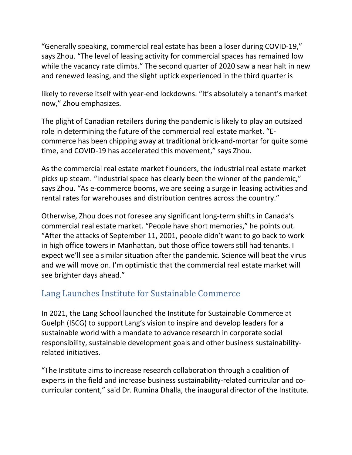"Generally speaking, commercial real estate has been a loser during COVID-19," says Zhou. "The level of leasing activity for commercial spaces has remained low while the vacancy rate climbs." The second quarter of 2020 saw a near halt in new and renewed leasing, and the slight uptick experienced in the third quarter is

likely to reverse itself with year-end lockdowns. "It's absolutely a tenant's market now," Zhou emphasizes.

The plight of Canadian retailers during the pandemic is likely to play an outsized role in determining the future of the commercial real estate market. "Ecommerce has been chipping away at traditional brick-and-mortar for quite some time, and COVID-19 has accelerated this movement," says Zhou.

As the commercial real estate market flounders, the industrial real estate market picks up steam. "Industrial space has clearly been the winner of the pandemic," says Zhou. "As e-commerce booms, we are seeing a surge in leasing activities and rental rates for warehouses and distribution centres across the country."

Otherwise, Zhou does not foresee any significant long-term shifts in Canada's commercial real estate market. "People have short memories," he points out. "After the attacks of September 11, 2001, people didn't want to go back to work in high office towers in Manhattan, but those office towers still had tenants. I expect we'll see a similar situation after the pandemic. Science will beat the virus and we will move on. I'm optimistic that the commercial real estate market will see brighter days ahead."

## Lang Launches Institute for Sustainable Commerce

In 2021, the Lang School launched the Institute for Sustainable Commerce at Guelph (ISCG) to support Lang's vision to inspire and develop leaders for a sustainable world with a mandate to advance research in corporate social responsibility, sustainable development goals and other business sustainabilityrelated initiatives.

"The Institute aims to increase research collaboration through a coalition of experts in the field and increase business sustainability-related curricular and cocurricular content," said Dr. Rumina Dhalla, the inaugural director of the Institute.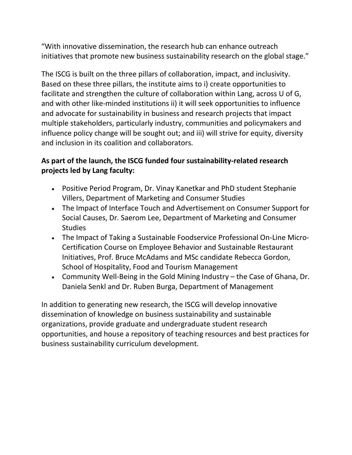"With innovative dissemination, the research hub can enhance outreach initiatives that promote new business sustainability research on the global stage."

The ISCG is built on the three pillars of collaboration, impact, and inclusivity. Based on these three pillars, the institute aims to i) create opportunities to facilitate and strengthen the culture of collaboration within Lang, across U of G, and with other like-minded institutions ii) it will seek opportunities to influence and advocate for sustainability in business and research projects that impact multiple stakeholders, particularly industry, communities and policymakers and influence policy change will be sought out; and iii) will strive for equity, diversity and inclusion in its coalition and collaborators.

### **As part of the launch, the ISCG funded four sustainability-related research projects led by Lang faculty:**

- Positive Period Program, Dr. Vinay Kanetkar and PhD student Stephanie Villers, Department of Marketing and Consumer Studies
- The Impact of Interface Touch and Advertisement on Consumer Support for Social Causes, Dr. Saerom Lee, Department of Marketing and Consumer **Studies**
- The Impact of Taking a Sustainable Foodservice Professional On-Line Micro-Certification Course on Employee Behavior and Sustainable Restaurant Initiatives, Prof. Bruce McAdams and MSc candidate Rebecca Gordon, School of Hospitality, Food and Tourism Management
- Community Well-Being in the Gold Mining Industry the Case of Ghana, Dr. Daniela Senkl and Dr. Ruben Burga, Department of Management

In addition to generating new research, the ISCG will develop innovative dissemination of knowledge on business sustainability and sustainable organizations, provide graduate and undergraduate student research opportunities, and house a repository of teaching resources and best practices for business sustainability curriculum development.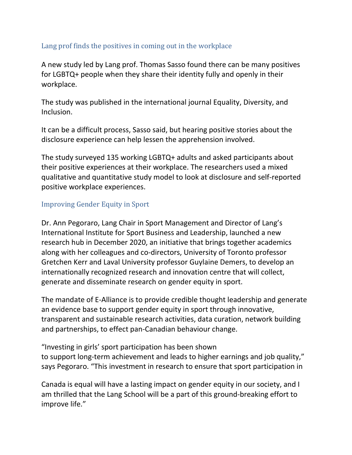### Lang prof finds the positives in coming out in the workplace

A new study led by Lang prof. Thomas Sasso found there can be many positives for LGBTQ+ people when they share their identity fully and openly in their workplace.

The study was published in the international journal Equality, Diversity, and Inclusion.

It can be a difficult process, Sasso said, but hearing positive stories about the disclosure experience can help lessen the apprehension involved.

The study surveyed 135 working LGBTQ+ adults and asked participants about their positive experiences at their workplace. The researchers used a mixed qualitative and quantitative study model to look at disclosure and self-reported positive workplace experiences.

#### Improving Gender Equity in Sport

Dr. Ann Pegoraro, Lang Chair in Sport Management and Director of Lang's International Institute for Sport Business and Leadership, launched a new research hub in December 2020, an initiative that brings together academics along with her colleagues and co-directors, University of Toronto professor Gretchen Kerr and Laval University professor Guylaine Demers, to develop an internationally recognized research and innovation centre that will collect, generate and disseminate research on gender equity in sport.

The mandate of E-Alliance is to provide credible thought leadership and generate an evidence base to support gender equity in sport through innovative, transparent and sustainable research activities, data curation, network building and partnerships, to effect pan-Canadian behaviour change.

"Investing in girls' sport participation has been shown to support long-term achievement and leads to higher earnings and job quality," says Pegoraro. "This investment in research to ensure that sport participation in

Canada is equal will have a lasting impact on gender equity in our society, and I am thrilled that the Lang School will be a part of this ground-breaking effort to improve life."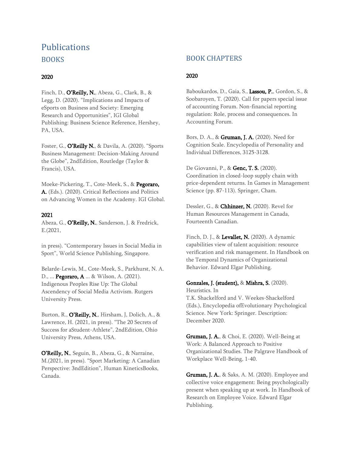## **Publications** BOOKS

#### 2020

Finch, D., O'Reilly, N., Abeza, G., Clark, B., & Legg, D. (2020). "Implications and Impacts of eSports on Business and Society: Emerging Research and Opportunities", IGI Global Publishing: Business Science Reference, Hershey, PA, USA.

Foster, G., O'Reilly N., & Davila, A. (2020). "Sports Business Management: Decision-Making Around the Globe", 2ndEdition, Routledge (Taylor & Francis), USA.

Moeke-Pickering, T., Cote-Meek, S., & Pegoraro, A. (Eds.). (2020). Critical Reflections and Politics on Advancing Women in the Academy. IGI Global.

#### 2021

Abeza, G., O'Reilly, N., Sanderson, J. & Fredrick, E.(2021,

in press). "Contemporary Issues in Social Media in Sport", World Science Publishing, Singapore.

Belarde-Lewis, M., Cote-Meek, S., Parkhurst, N. A. D., ... Pegoraro, A ... & Wilson, A. (2021). Indigenous Peoples Rise Up: The Global Ascendency of Social Media Activism. Rutgers University Press.

Burton, R., O'Reilly, N., Hirsham, J., Dolich, A., & Lawrence, H. (2021, in press). "The 20 Secrets of Success for aStudent-Athlete", 2ndEdition, Ohio University Press, Athens, USA.

O'Reilly, N., Seguin, B., Abeza, G., & Narraine, M.(2021, in press). "Sport Marketing: A Canadian Perspective: 3ndEdition", Human KineticsBooks, Canada.

#### BOOK CHAPTERS

#### 2020

Baboukardos, D., Gaia, S., Lassou, P., Gordon, S., & Soobaroyen, T. (2020). Call for papers special issue of accounting Forum. Non-financial reporting regulation: Role, process and consequences. In Accounting Forum.

Bors, D. A., & Gruman, J. A. (2020). Need for Cognition Scale. Encyclopedia of Personality and Individual Differences, 3125-3128.

De Giovanni, P., & Genc, T. S. (2020). Coordination in closed-loop supply chain with price-dependent returns. In Games in Management Science (pp. 87-113). Springer, Cham.

Dessler, G., & Chhinzer, N. (2020). Revel for Human Resources Management in Canada, Fourteenth Canadian.

Finch, D. J., & Levallet, N. (2020). A dynamic capabilities view of talent acquisition: resource verification and risk management. In Handbook on the Temporal Dynamics of Organizational Behavior. Edward Elgar Publishing.

#### Gonzales, J. (student), & Mishra, S. (2020).

Heuristics. In T.K. Shackelford and V. Weekes-Shackelford (Eds.), Encyclopedia ofEvolutionary Psychological Science. New York: Springer. Description: December 2020.

**Gruman, J. A.**, & Choi, E. (2020). Well-Being at Work: A Balanced Approach to Positive Organizational Studies. The Palgrave Handbook of Workplace Well-Being, 1-40.

**Gruman, J. A.**, & Saks, A. M. (2020). Employee and collective voice engagement: Being psychologically present when speaking up at work. In Handbook of Research on Employee Voice. Edward Elgar Publishing.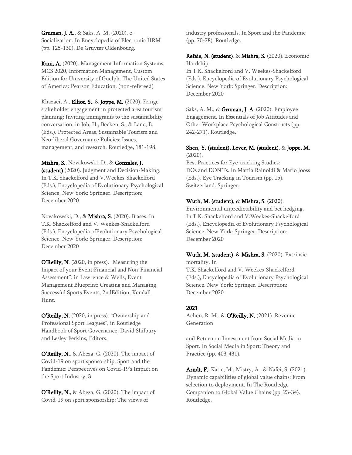Gruman, J. A., & Saks, A. M. (2020). e-Socialization. In Encyclopedia of Electronic HRM (pp. 125-130). De Gruyter Oldenbourg.

Kani, A. (2020). Management Information Systems, MCS 2020, Information Management, Custom Edition for University of Guelph. The United States of America: Pearson Education. (non-refereed)

Khazaei, A., **Elliot, S.**, & **Joppe, M.** (2020). Fringe stakeholder engagement in protected area tourism planning: Inviting immigrants to the sustainability conversation. in Job, H., Becken, S., & Lane, B. (Eds.). Protected Areas, Sustainable Tourism and Neo-liberal Governance Policies: Issues, management, and research. Routledge, 181-198.

#### Mishra, S., Novakowski, D., & Gonzales, J.

(student) (2020). Judgment and Decision-Making. In T.K. Shackelford and V.Weekes-Shackelford (Eds.), Encyclopedia of Evolutionary Psychological Science. New York: Springer. Description: December 2020

Novakowski, D., & Mishra, S. (2020). Biases. In T.K. Shackelford and V. Weekes-Shackelford (Eds.), Encyclopedia ofEvolutionary Psychological Science. New York: Springer. Description: December 2020

O'Reilly, N. (2020, in press). "Measuring the Impact of your Event:Financial and Non-Financial Assessment": in Lawrence & Wells, Event Management Blueprint: Creating and Managing Successful Sports Events, 2ndEdition, Kendall Hunt.

O'Reilly, N. (2020, in press). "Ownership and Professional Sport Leagues", in Routledge Handbook of Sport Governance, David Shilbury and Lesley Ferkins, Editors.

O'Reilly, N., & Abeza, G. (2020). The impact of Covid-19 on sport sponsorship. Sport and the Pandemic: Perspectives on Covid-19's Impact on the Sport Industry, 3.

O'Reilly, N., & Abeza, G. (2020). The impact of Covid-19 on sport sponsorship: The views of

industry professionals. In Sport and the Pandemic (pp. 70-78). Routledge.

Refaie, N. (student), & Mishra, S. (2020). Economic Hardship. In T.K. Shackelford and V. Weekes-Shackelford

(Eds.), Encyclopedia of Evolutionary Psychological Science. New York: Springer. Description: December 2020

Saks, A. M., & Gruman, J. A. (2020). Employee Engagement. In Essentials of Job Attitudes and Other Workplace Psychological Constructs (pp. 242-271). Routledge.

#### Shen, Y. (student), Lever, M. (student), & Joppe, M. (2020).

Best Practices for Eye-tracking Studies: DOs and DON'Ts. In Mattia Rainoldi & Mario Jooss (Eds.), Eye Tracking in Tourism (pp. 15). Switzerland: Springer.

#### Wuth, M. (student), & Mishra, S. (2020).

Environmental unpredictability and bet hedging. In T.K. Shackelford and V.Weekes-Shackelford (Eds.), Encyclopedia of Evolutionary Psychological Science. New York: Springer. Description: December 2020

#### Wuth, M. (student), & Mishra, S. (2020). Extrinsic mortality. In

T.K. Shackelford and V. Weekes-Shackelford (Eds.), Encyclopedia of Evolutionary Psychological Science. New York: Springer. Description: December 2020

#### 2021

Achen, R. M., & O'Reilly, N. (2021). Revenue Generation

and Return on Investment from Social Media in Sport. In Social Media in Sport: Theory and Practice (pp. 403-431).

Arndt, F., Katic, M., Mistry, A., & Nafei, S. (2021). Dynamic capabilities of global value chains: From selection to deployment. In The Routledge Companion to Global Value Chains (pp. 23-34). Routledge.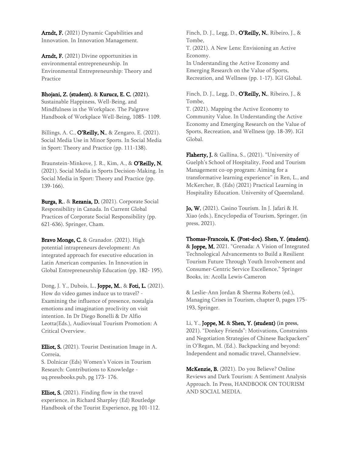Arndt, F. (2021) Dynamic Capabilities and Innovation. In Innovation Management.

Arndt, F. (2021) Divine opportunities in environmental entrepreneurship. In Environmental Entrepreneurship: Theory and Practice

#### Bhojani, Z. (student), & Kurucz, E. C. (2021).

Sustainable Happiness, Well-Being, and Mindfulness in the Workplace. The Palgrave Handbook of Workplace Well-Being, 1085- 1109.

Billings, A. C., O'Reilly, N., & Zengaro, E. (2021). Social Media Use in Minor Sports. In Social Media in Sport: Theory and Practice (pp. 111-138).

Braunstein-Minkove, J. R., Kim, A., & O'Reilly, N. (2021). Social Media in Sports Decision-Making. In Social Media in Sport: Theory and Practice (pp. 139-166).

Burga, R., & Rezania, D. (2021). Corporate Social Responsibility in Canada. In Current Global Practices of Corporate Social Responsibility (pp. 621-636). Springer, Cham.

Bravo Monge, C. & Granador. (2021). High potential intrapreneurs development: An integrated approach for executive education in Latin American companies. In Innovation in Global Entrepreneurship Education (pp. 182- 195).

Dong, J. Y., Dubois, L., Joppe, M., & Foti, L. (2021). How do video games induce us to travel? - Examining the influence of presence, nostalgia emotions and imagination proclivity on visit intention. In Dr Diego Bonelli & Dr Alfio Leotta(Eds.), Audiovisual Tourism Promotion: A Critical Overview.

Elliot, S. (2021). Tourist Destination Image in A. Correia,

S. Dolnicar (Eds) Women's Voices in Tourism Research: Contributions to Knowledge uq.pressbooks.pub, pg 173- 176.

Elliot, S. (2021). Finding flow in the travel experience, in Richard Sharpley (Ed) Routledge Handbook of the Tourist Experience, pg 101-112.

Finch, D. J., Legg, D., **O'Reilly, N.**, Ribeiro, J., & Tombe,

T. (2021). A New Lens: Envisioning an Active Economy.

In Understanding the Active Economy and Emerging Research on the Value of Sports, Recreation, and Wellness (pp. 1-17). IGI Global.

Finch, D. J., Legg, D., **O'Reilly, N.**, Ribeiro, J., & Tombe,

T. (2021). Mapping the Active Economy to Community Value. In Understanding the Active Economy and Emerging Research on the Value of Sports, Recreation, and Wellness (pp. 18-39). IGI Global.

Flaherty, J. & Gallina, S., (2021). "University of Guelph's School of Hospitality, Food and Tourism Management co-op program: Aiming for a transformative learning experience" in Ren, L., and McKercher, B. (Eds) (2021) Practical Learning in Hospitality Education. University of Queensland.

Jo, W. (2021). Casino Tourism. In J. Jafari & H. Xiao (eds.), Encyclopedia of Tourism, Springer, (in press, 2021).

Thomas-Francois, K. (Post-doc), Shen, Y. (student), & Joppe, M. 2021. "Grenada: A Vision of Integrated Technological Advancements to Build a Resilient Tourism Future Through Youth Involvement and Consumer-Centric Service Excellence," Springer Books, in: Acolla Lewis-Cameron

& Leslie-Ann Jordan & Sherma Roberts (ed.), Managing Crises in Tourism, chapter 0, pages 175- 193, Springer.

Li, Y., Joppe, M. & Shen, Y. (student) (in press, 2021). "Donkey Friends": Motivations, Constraints and Negotiation Strategies of Chinese Backpackers" in O'Regan, M. (Ed.). Backpacking and beyond: Independent and nomadic travel, Channelview.

McKenzie, B. (2021). Do you Believe? Online Reviews and Dark Tourism: A Sentiment Analysis Approach. In Press, HANDBOOK ON TOURISM AND SOCIAL MEDIA.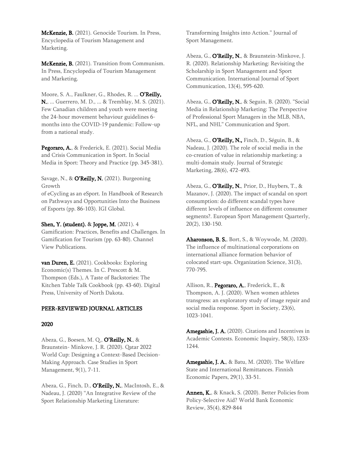McKenzie, B. (2021). Genocide Tourism. In Press, Encyclopedia of Tourism Management and Marketing.

McKenzie, B. (2021). Transition from Communism. In Press, Encyclopedia of Tourism Management and Marketing.

Moore, S. A., Faulkner, G., Rhodes, R. ... O'Reilly, N., ... Guerrero, M. D., ... & Tremblay, M. S. (2021). Few Canadian children and youth were meeting the 24-hour movement behaviour guidelines 6 months into the COVID-19 pandemic: Follow-up from a national study.

Pegoraro, A., & Frederick, E. (2021). Social Media and Crisis Communication in Sport. In Social Media in Sport: Theory and Practice (pp. 345-381).

Savage, N., & O'Reilly, N. (2021). Burgeoning Growth

of eCycling as an eSport. In Handbook of Research on Pathways and Opportunities Into the Business of Esports (pp. 86-103). IGI Global.

#### Shen, Y. (student), & Joppe, M. (2021). 4

Gamification: Practices, Benefits and Challenges. In Gamification for Tourism (pp. 63-80). Channel View Publications.

van Duren, E. (2021). Cookbooks: Exploring Economic(s) Themes. In C. Prescott & M. Thompson (Eds.), A Taste of Backstories: The Kitchen Table Talk Cookbook (pp. 43-60). Digital Press, University of North Dakota.

#### PEER-REVIEWED JOURNAL ARTICLES

#### 2020

Abeza, G., Boesen, M. Q., O'Reilly, N., & Braunstein- Minkove, J. R. (2020). Qatar 2022 World Cup: Designing a Context-Based Decision-Making Approach. Case Studies in Sport Management, 9(1), 7-11.

Abeza, G., Finch, D., O'Reilly, N., MacIntosh, E., & Nadeau, J. (2020) "An Integrative Review of the Sport Relationship Marketing Literature:

Transforming Insights into Action." Journal of Sport Management.

Abeza, G., O'Reilly, N., & Braunstein-Minkove, J. R. (2020). Relationship Marketing: Revisiting the Scholarship in Sport Management and Sport Communication. International Journal of Sport Communication, 13(4), 595-620.

Abeza, G., **O'Reilly, N.**, & Seguin, B. (2020). "Social Media in Relationship Marketing: The Perspective of Professional Sport Managers in the MLB, NBA, NFL, and NHL" Communication and Sport.

Abeza, G., O'Reilly, N., Finch, D., Séguin, B., & Nadeau, J. (2020). The role of social media in the co-creation of value in relationship marketing: a multi-domain study. Journal of Strategic Marketing, 28(6), 472-493.

Abeza, G., O'Reilly, N., Prior, D., Huybers, T., & Mazanov, J. (2020). The impact of scandal on sport consumption: do different scandal types have different levels of influence on different consumer segments?. European Sport Management Quarterly, 20(2), 130-150.

Aharonson, B. S., Bort, S., & Woywode, M. (2020). The influence of multinational corporations on international alliance formation behavior of colocated start-ups. Organization Science, 31(3), 770-795.

Allison, R., Pegoraro, A., Frederick, E., & Thompson, A. J. (2020). When women athletes transgress: an exploratory study of image repair and social media response. Sport in Society, 23(6), 1023-1041.

Amegashie, J. A. (2020). Citations and Incentives in Academic Contests. Economic Inquiry, 58(3), 1233- 1244.

Amegashie, J. A., & Batu, M. (2020). The Welfare State and International Remittances. Finnish Economic Papers, 29(1), 33-51.

Annen, K., & Knack, S. (2020). Better Policies from Policy-Selective Aid? World Bank Economic Review, 35(4), 829-844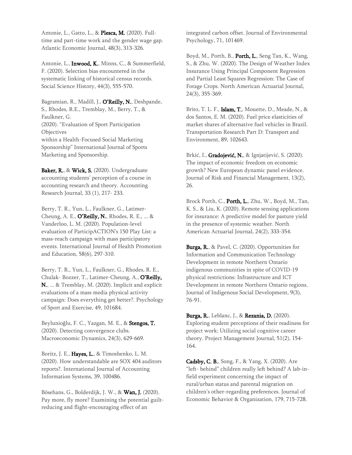Antonie, L., Gatto, L., & Plesca, M. (2020). Fulltime and part-time work and the gender wage gap. Atlantic Economic Journal, 48(3), 313-326.

Antonie, L., **Inwood, K.**, Minns, C., & Summerfield, F. (2020). Selection bias encountered in the systematic linking of historical census records. Social Science History, 44(3), 555-570.

Bagramian, R., Madill, J., O'Reilly, N., Deshpande, S., Rhodes, R.E., Tremblay, M., Berry, T., & Faulkner, G. (2020). "Evaluation of Sport Participation **Objectives** within a Health-Focused Social Marketing Sponsorship" International Journal of Sports Marketing and Sponsorship.

Baker, R., & Wick, S. (2020). Undergraduate accounting students' perception of a course in accounting research and theory. Accounting Research Journal, 33 (1), 217- 233.

Berry, T. R., Yun, L., Faulkner, G., Latimer-Cheung, A. E., O'Reilly, N., Rhodes, R. E., ... & Vanderloo, L. M. (2020). Population-level evaluation of ParticipACTION's 150 Play List: a mass-reach campaign with mass participatory events. International Journal of Health Promotion and Education, 58(6), 297-310.

Berry, T. R., Yun, L., Faulkner, G., Rhodes, R. E., Chulak- Bozzer, T., Latimer-Cheung, A., O'Reilly, N., ... & Tremblay, M. (2020). Implicit and explicit evaluations of a mass media physical activity campaign: Does everything get better?. Psychology of Sport and Exercise, 49, 101684.

Beylunioğlu, F. C., Yazgan, M. E., & Stengos, T. (2020). Detecting convergence clubs. Macroeconomic Dynamics, 24(3), 629-669.

Boritz, J. E., Hayes, L., & Timoshenko, L. M. (2020). How understandable are SOX 404 auditors reports?. International Journal of Accounting Information Systems, 39, 100486.

Bösehans, G., Bolderdijk, J. W., & Wan, J. (2020). Pay more, fly more? Examining the potential guiltreducing and flight-encouraging effect of an

integrated carbon offset. Journal of Environmental Psychology, 71, 101469.

Boyd, M., Porth, B., Porth, L., Seng Tan, K., Wang, S., & Zhu, W. (2020). The Design of Weather Index Insurance Using Principal Component Regression and Partial Least Squares Regression: The Case of Forage Crops. North American Actuarial Journal, 24(3), 355-369.

Brito, T. L. F., Islam, T., Mouette, D., Meade, N., & dos Santos, E. M. (2020). Fuel price elasticities of market shares of alternative fuel vehicles in Brazil. Transportation Research Part D: Transport and Environment, 89, 102643.

Brkić, I., Gradojević, N., & Ignjatijević, S. (2020). The impact of economic freedom on economic growth? New European dynamic panel evidence. Journal of Risk and Financial Management, 13(2), 26.

Brock Porth, C., Porth, L., Zhu, W., Boyd, M., Tan, K. S., & Liu, K. (2020). Remote sensing applications for insurance: A predictive model for pasture yield in the presence of systemic weather. North American Actuarial Journal, 24(2), 333-354.

**Burga, R.**, & Pavel, C. (2020). Opportunities for Information and Communication Technology Development in remote Northern Ontario indigenous communities in spite of COVID-19 physical restrictions: Infrastructure and ICT Development in remote Northern Ontario regions. Journal of Indigenous Social Development, 9(3), 76-91.

Burga, R., Leblanc, J., & Rezania, D. (2020). Exploring student perceptions of their readiness for project work: Utilizing social cognitive career theory. Project Management Journal, 51(2), 154- 164.

Cadsby, C. B., Song, F., & Yang, X. (2020). Are "left- behind" children really left behind? A lab-infield experiment concerning the impact of rural/urban status and parental migration on children's other-regarding preferences. Journal of Economic Behavior & Organization, 179, 715-728.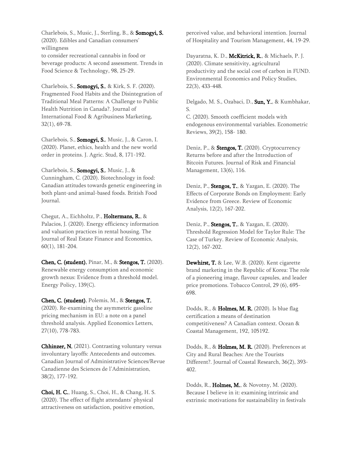Charlebois, S., Music, J., Sterling, B., & Somogyi, S. (2020). Edibles and Canadian consumers' willingness to consider recreational cannabis in food or beverage products: A second assessment. Trends in Food Science & Technology, 98, 25-29.

Charlebois, S., Somogyi, S., & Kirk, S. F. (2020). Fragmented Food Habits and the Disintegration of Traditional Meal Patterns: A Challenge to Public Health Nutrition in Canada?. Journal of International Food & Agribusiness Marketing, 32(1), 69-78.

Charlebois, S., Somogyi, S., Music, J., & Caron, I. (2020). Planet, ethics, health and the new world order in proteins. J. Agric. Stud, 8, 171-192.

Charlebois, S., Somogyi, S., Music, J., & Cunningham, C. (2020). Biotechnology in food: Canadian attitudes towards genetic engineering in both plant-and animal-based foods. British Food Journal.

Chegut, A., Eichholtz, P., Holtermans, R., & Palacios, J. (2020). Energy efficiency information and valuation practices in rental housing. The Journal of Real Estate Finance and Economics, 60(1), 181-204.

Chen, C. (student), Pinar, M., & Stengos, T. (2020). Renewable energy consumption and economic growth nexus: Evidence from a threshold model. Energy Policy, 139(C).

Chen, C. (student), Polemis, M., & Stengos, T. (2020). Re-examining the asymmetric gasoline pricing mechanism in EU: a note on a panel threshold analysis. Applied Economics Letters, 27(10), 778-783.

Chhinzer, N. (2021). Contrasting voluntary versus involuntary layoffs: Antecedents and outcomes. Canadian Journal of Administrative Sciences/Revue Canadienne des Sciences de l'Administration, 38(2), 177-192.

Choi, H. C., Huang, S., Choi, H., & Chang, H. S. (2020). The effect of flight attendants' physical attractiveness on satisfaction, positive emotion,

perceived value, and behavioral intention. Journal of Hospitality and Tourism Management, 44, 19-29.

Dayaratna, K. D., McKitrick, R., & Michaels, P. J. (2020). Climate sensitivity, agricultural productivity and the social cost of carbon in FUND. Environmental Economics and Policy Studies, 22(3), 433-448.

Delgado, M. S., Ozabaci, D., Sun, Y., & Kumbhakar, S.

C. (2020). Smooth coefficient models with endogenous environmental variables. Econometric Reviews, 39(2), 158- 180.

Deniz, P., & Stengos, T. (2020). Cryptocurrency Returns before and after the Introduction of Bitcoin Futures. Journal of Risk and Financial Management, 13(6), 116.

Deniz, P., **Stengos, T.**, & Yazgan, E. (2020). The Effects of Corporate Bonds on Employment: Early Evidence from Greece. Review of Economic Analysis, 12(2), 167-202.

Deniz, P., **Stengos, T.**, & Yazgan, E. (2020). Threshold Regression Model for Taylor Rule: The Case of Turkey. Review of Economic Analysis, 12(2), 167-202.

Dewhirst, T. & Lee, W.B. (2020). Kent cigarette brand marketing in the Republic of Korea: The role of a pioneering image, flavour capsules, and leader price promotions. Tobacco Control, 29 (6), 695- 698.

Dodds, R., & Holmes, M. R. (2020). Is blue flag certification a means of destination competitiveness? A Canadian context. Ocean & Coastal Management, 192, 105192.

Dodds, R., & Holmes, M. R. (2020). Preferences at City and Rural Beaches: Are the Tourists Different?. Journal of Coastal Research, 36(2), 393- 402.

Dodds, R., Holmes, M., & Novotny, M. (2020). Because I believe in it: examining intrinsic and extrinsic motivations for sustainability in festivals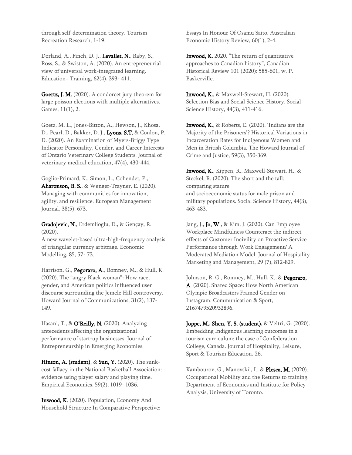through self-determination theory. Tourism Recreation Research, 1-19.

Dorland, A., Finch, D. J., Levallet, N., Raby, S., Ross, S., & Swiston, A. (2020). An entrepreneurial view of universal work-integrated learning. Education+ Training, 62(4), 393- 411.

Goertz, J. M. (2020). A condorcet jury theorem for large poisson elections with multiple alternatives. Games, 11(1), 2.

Goetz, M. L., Jones-Bitton, A., Hewson, J., Khosa, D., Pearl, D., Bakker, D. J., Lyons, S.T. & Conlon, P. D. (2020). An Examination of Myers-Briggs Type Indicator Personality, Gender, and Career Interests of Ontario Veterinary College Students. Journal of veterinary medical education, 47(4), 430-444.

Goglio-Primard, K., Simon, L., Cohendet, P., Aharonson, B. S., & Wenger-Trayner, E. (2020). Managing with communities for innovation, agility, and resilience. European Management Journal, 38(5), 673.

Gradojevic, N., Erdemlioglu, D., & Gençay, R. (2020).

A new wavelet-based ultra-high-frequency analysis of triangular currency arbitrage. Economic Modelling, 85, 57- 73.

Harrison, G., Pegoraro, A., Romney, M., & Hull, K. (2020). The "angry Black woman": How race, gender, and American politics influenced user discourse surrounding the Jemele Hill controversy. Howard Journal of Communications, 31(2), 137- 149.

Hasani, T., & O'Reilly, N. (2020). Analyzing antecedents affecting the organizational performance of start-up businesses. Journal of Entrepreneurship in Emerging Economies.

Hinton, A. (student), & Sun, Y. (2020). The sunkcost fallacy in the National Basketball Association: evidence using player salary and playing time. Empirical Economics, 59(2), 1019- 1036.

Inwood, K. (2020). Population, Economy And Household Structure In Comparative Perspective: Essays In Honour Of Osamu Saito. Australian Economic History Review, 60(1), 2-4.

**Inwood, K.** 2020. "The return of quantitative approaches to Canadian history", Canadian Historical Review 101 (2020): 585-601, w. P. Baskerville.

Inwood, K., & Maxwell-Stewart, H. (2020). Selection Bias and Social Science History. Social Science History, 44(3), 411-416.

Inwood, K., & Roberts, E. (2020). 'Indians are the Majority of the Prisoners'? Historical Variations in Incarceration Rates for Indigenous Women and Men in British Columbia. The Howard Journal of Crime and Justice, 59(3), 350-369.

Inwood, K., Kippen, R., Maxwell-Stewart, H., & Steckel, R. (2020). The short and the tall: comparing stature and socioeconomic status for male prison and military populations. Social Science History, 44(3), 463-483.

Jang, J., **Jo, W.**, & Kim, J. (2020). Can Employee Workplace Mindfulness Counteract the indirect effects of Customer Incivility on Proactive Service Performance through Work Engagement? A Moderated Mediation Model. Journal of Hospitality Marketing and Management, 29 (7), 812-829.

Johnson, R. G., Romney, M., Hull, K., & Pegoraro, A. (2020). Shared Space: How North American Olympic Broadcasters Framed Gender on Instagram. Communication & Sport, 2167479520932896.

Joppe, M., Shen, Y. S. (student), & Veltri, G. (2020). Embedding Indigenous learning outcomes in a tourism curriculum: the case of Confederation College, Canada. Journal of Hospitality, Leisure, Sport & Tourism Education, 26.

Kambourov, G., Manovskii, I., & Plesca, M. (2020). Occupational Mobility and the Returns to training. Department of Economics and Institute for Policy Analysis, University of Toronto.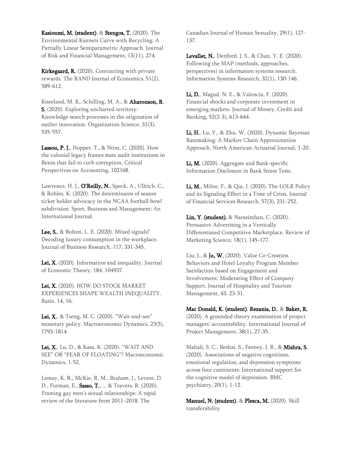Kasioumi, M. (student), & Stengos, T. (2020). The Environmental Kuznets Curve with Recycling: A Partially Linear Semiparametric Approach. Journal of Risk and Financial Management, 13(11), 274.

Kirkegaard, R. (2020). Contracting with private rewards. The RAND Journal of Economics, 51(2), 589-612.

Kneeland, M. K., Schilling, M. A., & Aharonson, B. S. (2020). Exploring uncharted territory: Knowledge search processes in the origination of outlier innovation. Organization Science, 31(3), 535-557.

Lassou, P. J., Hopper, T., & Ntim, C. (2020). How the colonial legacy frames state audit institutions in Benin that fail to curb corruption. Critical Perspectives on Accounting, 102168.

Lawrence, H. J., O'Reilly, N., Speck, A., Ullrich, C., & Robles, K. (2020). The determinants of season ticket holder advocacy in the NCAA football bowl subdivision. Sport, Business and Management: An International Journal.

**Lee, S.**, & Bolton, L. E. (2020). Mixed signals? Decoding luxury consumption in the workplace. Journal of Business Research, 117, 331-345.

Lei, X. (2020). Information and inequality. Journal of Economic Theory, 184, 104937.

Lei, X. (2020). HOW DO STOCK MARKET EXPERIENCES SHAPE WEALTH INEQUALITY. Ratio. 14, 16.

Lei, X., & Tseng, M. C. (2020). "Wait-and-see" monetary policy. Macroeconomic Dynamics, 23(5), 1793-1814.

Lei, X., Lu, D., & Kasa, K. (2020). "WAIT AND SEE" OR "FEAR OF FLOATING"? Macroeconomic Dynamics, 1-52.

Lemay, K. R., McKie, R. M., Braham, J., Levere, D. D., Furman, E., Sasso, T., ... & Travers, R. (2020). Framing gay men's sexual relationships: A rapid review of the literature from 2011–2018. The

Canadian Journal of Human Sexuality, 29(1), 127- 137.

Levallet, N., Denford, J. S., & Chan, Y. E. (2020). Following the MAP (methods, approaches, perspectives) in information systems research. Information Systems Research, 32(1), 130-146.

Li, D., Magud, N. E., & Valencia, F. (2020). Financial shocks and corporate investment in emerging markets. Journal of Money, Credit and Banking, 52(2-3), 613-644.

Li, H., Lu, Y., & Zhu, W. (2020). Dynamic Bayesian Ratemaking: A Markov Chain Approximation Approach. North American Actuarial Journal, 1-20.

Li, M. (2020). Aggregate and Bank-specific Information Disclosure in Bank Stress Tests.

Li, M., Milne, F., & Qiu, J. (2020). The LOLR Policy and its Signaling Effect in a Time of Crisis. Journal of Financial Services Research, 57(3), 231-252.

Lin, Y. (student), & Narasimhan, C. (2020). Persuasive Advertising in a Vertically Differentiated Competitive Marketplace. Review of Marketing Science, 18(1), 145-177.

Liu, J., & **Jo, W.** (2020). Value Co-Creation Behaviors and Hotel Loyalty Program Member Satisfaction based on Engagement and Involvement: Moderating Effect of Company Support. Journal of Hospitality and Tourism Management, 43, 23-31.

Mac Donald, K. (student), Rezania, D., & Baker, R. (2020). A grounded theory examination of project managers' accountability. International Journal of Project Management, 38(1), 27-35.

Mahali, S. C., Beshai, S., Feeney, J. R., & Mishra, S. (2020). Associations of negative cognitions, emotional regulation, and depression symptoms across four continents: International support for the cognitive model of depression. BMC psychiatry, 20(1), 1-12.

Manuel, N. (student), & Plesca, M. (2020). Skill transferability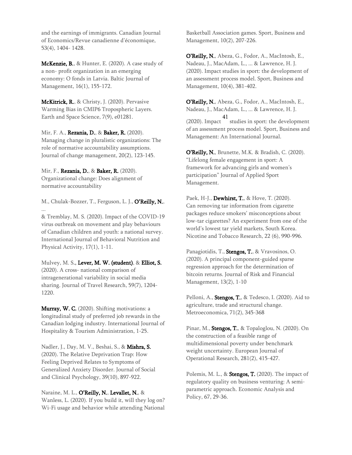and the earnings of immigrants. Canadian Journal of Economics/Revue canadienne d'économique, 53(4), 1404- 1428.

McKenzie, B., & Hunter, E. (2020). A case study of a non- profit organization in an emerging economy: O fonds in Latvia. Baltic Journal of Management, 16(1), 155-172.

McKitrick, R., & Christy, J. (2020). Pervasive Warming Bias in CMIP6 Tropospheric Layers. Earth and Space Science, 7(9), e01281.

Mir, F. A., Rezania, D., & Baker, R. (2020). Managing change in pluralistic organizations: The role of normative accountability assumptions. Journal of change management, 20(2), 123-145.

Mir, F., Rezania, D., & Baker, R. (2020). Organizational change: Does alignment of normative accountability

M., Chulak-Bozzer, T., Ferguson, L. J., O'Reilly, N., ...

& Tremblay, M. S. (2020). Impact of the COVID-19 virus outbreak on movement and play behaviours of Canadian children and youth: a national survey. International Journal of Behavioral Nutrition and Physical Activity, 17(1), 1-11.

Mulvey, M. S., Lever, M. W. (student), & Elliot, S. (2020). A cross- national comparison of intragenerational variability in social media sharing. Journal of Travel Research, 59(7), 1204- 1220.

Murray, W. C. (2020). Shifting motivations: a longitudinal study of preferred job rewards in the Canadian lodging industry. International Journal of Hospitality & Tourism Administration, 1-25.

Nadler, J., Day, M. V., Beshai, S., & Mishra, S. (2020). The Relative Deprivation Trap: How Feeling Deprived Relates to Symptoms of Generalized Anxiety Disorder. Journal of Social and Clinical Psychology, 39(10), 897-922.

#### Naraine, M. L., O'Reilly, N., Levallet, N., & Wanless, L. (2020). If you build it, will they log on? Wi-Fi usage and behavior while attending National

Basketball Association games. Sport, Business and Management, 10(2), 207-226.

O'Reilly, N., Abeza, G., Fodor, A., MacIntosh, E., Nadeau, J., MacAdam, L., ... & Lawrence, H. J. (2020). Impact studies in sport: the development of an assessment process model. Sport, Business and Management, 10(4), 381-402.

O'Reilly, N., Abeza, G., Fodor, A., MacIntosh, E., Nadeau, J., MacAdam, L., ... & Lawrence, H. J.

(2020). Impact 41 studies in sport: the development of an assessment process model. Sport, Business and Management: An International Journal.

O'Reilly, N., Brunette, M.K. & Bradish, C. (2020). "Lifelong female engagement in sport: A framework for advancing girls and women's participation" Journal of Applied Sport Management.

Paek, H-J., **Dewhirst, T.**, & Hove, T. (2020). Can removing tar information from cigarette packages reduce smokers' misconceptions about low-tar cigarettes? An experiment from one of the world's lowest tar yield markets, South Korea. Nicotine and Tobacco Research, 22 (6), 990-996.

Panagiotidis, T., Stengos, T., & Vravosinos, O. (2020). A principal component-guided sparse regression approach for the determination of bitcoin returns. Journal of Risk and Financial Management, 13(2), 1-10

Pelloni, A., **Stengos, T.**, & Tedesco, I. (2020). Aid to agriculture, trade and structural change. Metroeconomica, 71(2), 345-368

Pinar, M., Stengos, T., & Topaloglou, N. (2020). On the construction of a feasible range of multidimensional poverty under benchmark weight uncertainty. European Journal of Operational Research, 281(2), 415-427.

Polemis, M. L.,  $\&$  **Stengos, T.** (2020). The impact of regulatory quality on business venturing: A semiparametric approach. Economic Analysis and Policy, 67, 29-36.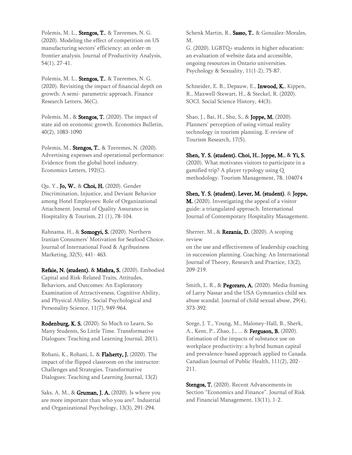Polemis, M. L., Stengos, T., & Tzeremes, N. G. (2020). Modeling the effect of competition on US manufacturing sectors' efficiency: an order-m frontier analysis. Journal of Productivity Analysis, 54(1), 27-41.

Polemis, M. L., Stengos, T., & Tzeremes, N. G. (2020). Revisiting the impact of financial depth on growth: A semi- parametric approach. Finance Research Letters, 36(C).

Polemis, M., & **Stengos, T.** (2020). The impact of state aid on economic growth. Economics Bulletin, 40(2), 1083-1090

Polemis, M., Stengos, T., & Tzeremes, N. (2020). Advertising expenses and operational performance: Evidence from the global hotel industry. Economics Letters, 192(C).

Qu, Y., **Jo, W.**, & Choi, H. (2020). Gender Discrimination, Injustice, and Deviant Behavior among Hotel Employees: Role of Organizational Attachment. Journal of Quality Assurance in Hospitality & Tourism, 21 (1), 78-104.

Rahnama, H., & Somogyi, S. (2020). Northern Iranian Consumers' Motivation for Seafood Choice. Journal of International Food & Agribusiness Marketing, 32(5), 441- 463.

Refaie, N. (student), & Mishra, S. (2020). Embodied Capital and Risk-Related Traits, Attitudes, Behaviors, and Outcomes: An Exploratory Examination of Attractiveness, Cognitive Ability, and Physical Ability. Social Psychological and Personality Science, 11(7), 949-964.

Rodenburg, K. S. (2020). So Much to Learn, So Many Students, So Little Time. Transformative Dialogues: Teaching and Learning Journal, 20(1).

Rohani, K., Rohani, L. & Flaherty, J. (2020). The impact of the flipped classroom on the instructor: Challenges and Strategies. Transformative Dialogues: Teaching and Learning Journal, 13(2)

Saks, A. M., & **Gruman, J. A.** (2020). Is where you are more important than who you are?. Industrial and Organizational Psychology, 13(3), 291-294.

Schenk Martin, R., Sasso, T., & González-Morales, M.

G. (2020). LGBTQ+ students in higher education: an evaluation of website data and accessible, ongoing resources in Ontario universities. Psychology & Sexuality, 11(1-2), 75-87.

Schneider, E. B., Depauw, E., **Inwood, K.**, Kippen, R., Maxwell-Stewart, H., & Steckel, R. (2020). SOCI. Social Science History, 44(3).

Shao, J., Bai, H., Shu, S., & **Joppe, M.** (2020). Planners' perception of using virtual reality technology in tourism planning. E-review of Tourism Research, 17(5).

Shen, Y. S. (student), Choi, H., Joppe, M., & Yi, S.

(2020). What motivates visitors to participate in a gamified trip? A player typology using Q methodology. Tourism Management, 78, 104074

Shen, Y. S. (student), Lever, M. (student), & Joppe, M. (2020). Investigating the appeal of a visitor guide: a triangulated approach. International Journal of Contemporary Hospitality Management.

Sherrer, M., & Rezania, D. (2020). A scoping review

on the use and effectiveness of leadership coaching in succession planning. Coaching: An International Journal of Theory, Research and Practice, 13(2), 209-219.

Smith, L. R., & Pegoraro, A. (2020). Media framing of Larry Nassar and the USA Gymnastics child sex abuse scandal. Journal of child sexual abuse, 29(4), 373-392.

Sorge, J. T., Young, M., Maloney-Hall, B., Sherk, A., Kent, P., Zhao, J., ... & Ferguson, B. (2020). Estimation of the impacts of substance use on workplace productivity: a hybrid human capital and prevalence-based approach applied to Canada. Canadian Journal of Public Health, 111(2), 202- 211.

Stengos, T. (2020). Recent Advancements in Section "Economics and Finance". Journal of Risk and Financial Management, 13(11), 1-2.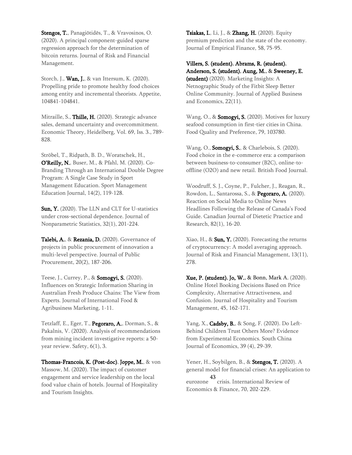Stengos, T., Panagiōtidēs, T., & Vravosinos, O. (2020). A principal component-guided sparse regression approach for the determination of bitcoin returns. Journal of Risk and Financial Management.

Storch, J., **Wan, J.**, & van Ittersum, K. (2020). Propelling pride to promote healthy food choices among entity and incremental theorists. Appetite, 104841-104841.

Mitraille, S., Thille, H. (2020). Strategic advance sales, demand uncertainty and overcommitment. Economic Theory, Heidelberg, Vol. 69, Iss. 3., 789- 828.

Ströbel, T., Ridpath, B. D., Woratschek, H., O'Reilly, N., Buser, M., & Pfahl, M. (2020). Co-Branding Through an International Double Degree Program: A Single Case Study in Sport Management Education. Sport Management Education Journal, 14(2), 119-128.

Sun, Y. (2020). The LLN and CLT for U-statistics under cross-sectional dependence. Journal of Nonparametric Statistics, 32(1), 201-224.

Talebi, A., & Rezania, D. (2020). Governance of projects in public procurement of innovation a multi-level perspective. Journal of Public Procurement, 20(2), 187-206.

Teese, J., Currey, P., & Somogyi, S. (2020). Influences on Strategic Information Sharing in Australian Fresh Produce Chains: The View from Experts. Journal of International Food & Agribusiness Marketing, 1-11.

Tetzlaff, E., Eger, T., Pegoraro, A., Dorman, S., & Pakalnis, V. (2020). Analysis of recommendations from mining incident investigative reports: a 50 year review. Safety, 6(1), 3.

Thomas-Francois, K. (Post-doc), Joppe, M., & von Massow, M. (2020). The impact of customer engagement and service leadership on the local food value chain of hotels. Journal of Hospitality and Tourism Insights.

Tsiakas, I., Li, J., & Zhang, H. (2020). Equity premium prediction and the state of the economy. Journal of Empirical Finance, 58, 75-95.

Villers, S. (student), Abrams, R. (student), Anderson, S. (student), Aung, M., & Sweeney, E. (student) (2020). Marketing Insights: A Netnographic Study of the Fitbit Sleep Better Online Community. Journal of Applied Business and Economics, 22(11).

Wang, O., & Somogyi, S. (2020). Motives for luxury seafood consumption in first-tier cities in China. Food Quality and Preference, 79, 103780.

Wang, O., **Somogyi, S.**, & Charlebois, S. (2020). Food choice in the e-commerce era: a comparison between business-to-consumer (B2C), online-tooffline (O2O) and new retail. British Food Journal.

Woodruff, S. J., Coyne, P., Fulcher, J., Reagan, R., Rowdon, L., Santarossa, S., & Pegoraro, A. (2020). Reaction on Social Media to Online News Headlines Following the Release of Canada's Food Guide. Canadian Journal of Dietetic Practice and Research, 82(1), 16-20.

Xiao, H., &  $Sun, Y.$  (2020). Forecasting the returns of cryptocurrency: A model averaging approach. Journal of Risk and Financial Management, 13(11), 278.

Xue, P. (student), Jo, W., & Bonn, Mark A. (2020). Online Hotel Booking Decisions Based on Price Complexity, Alternative Attractiveness, and Confusion. Journal of Hospitality and Tourism Management, 45, 162-171.

Yang, X., Cadsby, B., & Song, F. (2020). Do Left-Behind Children Trust Others More? Evidence from Experimental Economics. South China Journal of Economics, 39 (4), 29-39.

Yener, H., Soybilgen, B., & **Stengos, T.** (2020). A general model for financial crises: An application to eurozone crisis. International Review of 43 Economics & Finance, 70, 202-229.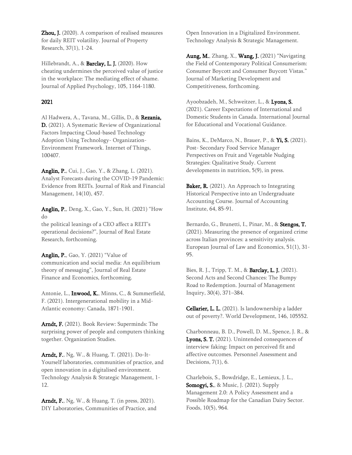Zhou, J. (2020). A comparison of realised measures for daily REIT volatility. Journal of Property Research, 37(1), 1-24.

Hillebrandt, A., & Barclay, L. J. (2020). How cheating undermines the perceived value of justice in the workplace: The mediating effect of shame. Journal of Applied Psychology, 105, 1164-1180.

#### 2021

Al Hadwera, A., Tavana, M., Gillis, D., & Rezania, D. (2021). A Systematic Review of Organizational Factors Impacting Cloud-based Technology Adoption Using Technology- Organization-Environment Framework. Internet of Things, 100407.

Anglin, P., Cui, J., Gao, Y., & Zhang, L. (2021). Analyst Forecasts during the COVID-19 Pandemic: Evidence from REITs. Journal of Risk and Financial Management, 14(10), 457.

Anglin, P., Deng, X., Gao, Y., Sun, H. (2021) "How do

the political leanings of a CEO affect a REIT's operational decisions?", Journal of Real Estate Research, forthcoming.

Anglin, P., Gao, Y. (2021) "Value of communication and social media: An equilibrium theory of messaging", Journal of Real Estate Finance and Economics, forthcoming.

Antonie, L., Inwood, K., Minns, C., & Summerfield, F. (2021). Intergenerational mobility in a Mid-Atlantic economy: Canada, 1871-1901.

Arndt, F. (2021). Book Review: Superminds: The surprising power of people and computers thinking together. Organization Studies.

Arndt, F., Ng, W., & Huang, T. (2021). Do-It-Yourself laboratories, communities of practice, and open innovation in a digitalised environment. Technology Analysis & Strategic Management, 1- 12.

Arndt, F., Ng, W., & Huang, T. (in press, 2021). DIY Laboratories, Communities of Practice, and Open Innovation in a Digitalized Environment. Technology Analysis & Strategic Management.

Aung, M., Zhang, X., Wang, J. (2021) "Navigating the Field of Contemporary Political Consumerism: Consumer Boycott and Consumer Buycott Vistas." Journal of Marketing Development and Competitiveness, forthcoming.

Ayoobzadeh, M., Schweitzer, L., & Lyons, S. (2021). Career Expectations of International and Domestic Students in Canada. International Journal for Educational and Vocational Guidance.

Bains, K., DeMarco, N., Brauer, P., & Yi, S. (2021). Post- Secondary Food Service Manager Perspectives on Fruit and Vegetable Nudging Strategies: Qualitative Study. Current developments in nutrition, 5(9), in press.

Baker, R. (2021). An Approach to Integrating Historical Perspective into an Undergraduate Accounting Course. Journal of Accounting Institute, 64, 85-91.

Bernardo, G., Brunetti, I., Pinar, M., & Stengos, T. (2021). Measuring the presence of organized crime across Italian provinces: a sensitivity analysis. European Journal of Law and Economics, 51(1), 31- 95.

Bies, R. J., Tripp, T. M., & Barclay, L. J. (2021). Second Acts and Second Chances: The Bumpy Road to Redemption. Journal of Management Inquiry, 30(4), 371–384.

Cellarier, L. L. (2021). Is landownership a ladder out of poverty?. World Development, 146, 105552.

Charbonneau, B. D., Powell, D. M., Spence, J. R., & Lyons, S. T. (2021). Unintended consequences of interview faking: Impact on perceived fit and affective outcomes. Personnel Assessment and Decisions, 7(1), 6.

Charlebois, S., Bowdridge, E., Lemieux, J. L., **Somogyi, S.**, & Music, J. (2021). Supply Management 2.0: A Policy Assessment and a Possible Roadmap for the Canadian Dairy Sector. Foods, 10(5), 964.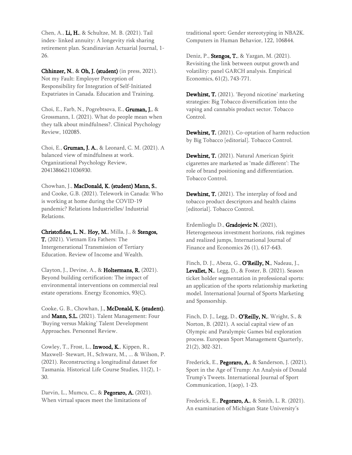Chen, A., Li, H., & Schultze, M. B. (2021). Tail index- linked annuity: A longevity risk sharing retirement plan. Scandinavian Actuarial Journal, 1- 26.

Chhinzer, N., & Oh, J. (student) (in press, 2021). Not my Fault: Employer Perception of Responsibility for Integration of Self-Initiated Expatriates in Canada. Education and Training.

Choi, E., Farb, N., Pogrebtsova, E., Gruman, J., & Grossmann, I. (2021). What do people mean when they talk about mindfulness?. Clinical Psychology Review, 102085.

Choi, E., Gruman, J. A., & Leonard, C. M. (2021). A balanced view of mindfulness at work. Organizational Psychology Review, 20413866211036930.

Chowhan, J., MacDonald, K, (student) Mann, S., and Cooke, G.B. (2021). Telework in Canada: Who is working at home during the COVID-19 pandemic? Relations Industrielles/ Industrial Relations.

Christofides, L. N., Hoy, M., Milla, J., & Stengos, T. (2021). Vietnam Era Fathers: The Intergenerational Transmission of Tertiary Education. Review of Income and Wealth.

Clayton, J., Devine, A., & Holtermans, R. (2021). Beyond building certification: The impact of environmental interventions on commercial real estate operations. Energy Economics, 93(C).

Cooke, G. B., Chowhan, J., McDonald, K. (student), and Mann, S.L. (2021). Talent Management: Four 'Buying versus Making' Talent Development Approaches. Personnel Review.

Cowley, T., Frost, L., Inwood, K., Kippen, R., Maxwell- Stewart, H., Schwarz, M., ... & Wilson, P. (2021). Reconstructing a longitudinal dataset for Tasmania. Historical Life Course Studies, 11(2), 1- 30.

Darvin, L., Mumcu, C., & Pegoraro, A. (2021). When virtual spaces meet the limitations of

traditional sport: Gender stereotyping in NBA2K. Computers in Human Behavior, 122, 106844.

Deniz, P., Stengos, T., & Yazgan, M. (2021). Revisiting the link between output growth and volatility: panel GARCH analysis. Empirical Economics, 61(2), 743-771.

Dewhirst, T. (2021). 'Beyond nicotine' marketing strategies: Big Tobacco diversification into the vaping and cannabis product sector. Tobacco Control.

Dewhirst, T. (2021). Co-optation of harm reduction by Big Tobacco [editorial]. Tobacco Control.

Dewhirst, T. (2021). Natural American Spirit cigarettes are marketed as 'made different': The role of brand positioning and differentiation. Tobacco Control.

Dewhirst, T. (2021). The interplay of food and tobacco product descriptors and health claims [editorial]. Tobacco Control.

Erdemlioglu D., Gradojevic N. (2021), Heterogeneous investment horizons, risk regimes and realized jumps, International Journal of Finance and Economics 26 (1), 617-643.

Finch, D. J., Abeza, G., O'Reilly, N., Nadeau, J., Levallet, N., Legg, D., & Foster, B. (2021). Season ticket holder segmentation in professional sports: an application of the sports relationship marketing model. International Journal of Sports Marketing and Sponsorship.

Finch, D. J., Legg, D.,  $O'Relily, N$ ., Wright, S., & Norton, B. (2021). A social capital view of an Olympic and Paralympic Games bid exploration process. European Sport Management Quarterly, 21(2), 302-321.

Frederick, E., Pegoraro, A., & Sanderson, J. (2021). Sport in the Age of Trump: An Analysis of Donald Trump's Tweets. International Journal of Sport Communication, 1(aop), 1-23.

Frederick, E., Pegoraro, A., & Smith, L. R. (2021). An examination of Michigan State University's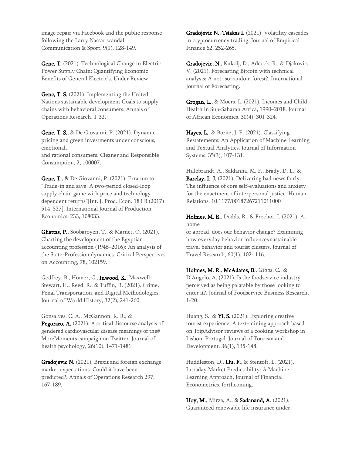image repair via Facebook and the public response following the Larry Nassar scandal. Communication & Sport, 9(1), 128-149.

Genc, T. (2021). Technological Change in Electric Power Supply Chain: Quantifying Economic Benefits of General Electric's. Under Review

Genc, T. S. (2021). Implementing the United Nations sustainable development Goals to supply chains with behavioral consumers. Annals of Operations Research, 1-32.

Genc, T. S., & De Giovanni, P. (2021). Dynamic pricing and green investments under conscious, emotional, and rational consumers. Cleaner and Responsible

Consumption, 2, 100007.

Genc, T., & De Giovanni, P. (2021). Erratum to "Trade-in and save: A two-period closed-loop supply chain game with price and technology dependent returns"[Int. J. Prod. Econ. 183 B (2017) 514–527]. International Journal of Production Economics, 233, 108033.

Ghattas, P., Soobaroyen, T., & Marnet, O. (2021). Charting the development of the Egyptian accounting profession (1946–2016): An analysis of the State-Profession dynamics. Critical Perspectives on Accounting, 78, 102159.

Godfrey, B., Homer, C., Inwood, K., Maxwell-Stewart, H., Reed, R., & Tuffin, R. (2021). Crime, Penal Transportation, and Digital Methodologies. Journal of World History, 32(2), 241-260.

Gonsalves, C. A., McGannon, K. R., & Pegoraro, A. (2021). A critical discourse analysis of gendered cardiovascular disease meanings of the# MoreMoments campaign on Twitter. Journal of health psychology, 26(10), 1471-1481.

Gradojevic N. (2021), Brexit and foreign exchange market expectations: Could it have been predicted?, Annals of Operations Research 297, 167-189.

Gradojevic N., Tsiakas I. (2021), Volatility cascades in cryptocurrency trading, Journal of Empirical Finance 62, 252-265.

Gradojevic, N., Kukolj, D., Adcock, R., & Djakovic, V. (2021). Forecasting Bitcoin with technical analysis: A not- so-random forest?. International Journal of Forecasting.

Grogan, L., & Moers, L. (2021). Incomes and Child Health in Sub-Saharan Africa, 1990–2018. Journal of African Economies, 30(4), 301-324.

Hayes, L., & Boritz, J. E. (2021). Classifying Restatements: An Application of Machine Learning and Textual Analytics. Journal of Information Systems, 35(3), 107-131.

Hillebrandt, A., Saldanha, M. F., Brady, D. L., & Barclay, L. J. (2021). Delivering bad news fairly: The influence of core self-evaluations and anxiety for the enactment of interpersonal justice. Human Relations. 10.1177/00187267211011000

Holmes, M. R., Dodds, R., & Frochot, I. (2021). At home

or abroad, does our behavior change? Examining how everyday behavior influences sustainable travel behavior and tourist clusters. Journal of Travel Research, 60(1), 102- 116.

Holmes, M. R., McAdams, B., Gibbs, C., & D'Angelo, A. (2021). Is the foodservice industry perceived as being palatable by those looking to enter it?. Journal of Foodservice Business Research, 1-20.

Huang, S., & Yi, S. (2021). Exploring creative tourist experience: A text-mining approach based on TripAdvisor reviews of a cooking workshop in Lisbon, Portugal. Journal of Tourism and Development, 36(1), 135-148.

Huddleston, D., Liu, F., & Stentoft, L. (2021). Intraday Market Predictability: A Machine Learning Approach, Journal of Financial Econometrics, forthcoming.

Hoy, M., Mirza, A., & Sadanand, A. (2021). Guaranteed renewable life insurance under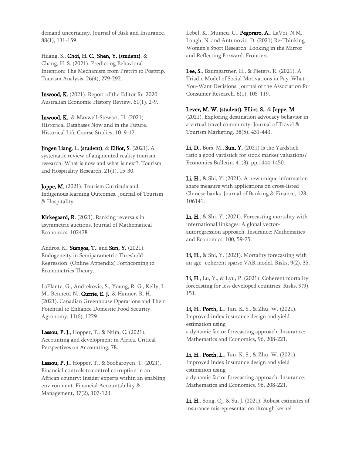demand uncertainty. Journal of Risk and Insurance, 88(1), 131-159.

Huang, S., Choi, H. C., Shen, Y. (student), & Chang, H. S. (2021). Predicting Behavioral Intention: The Mechanism from Pretrip to Posttrip. Tourism Analysis, 26(4), 279-292.

Inwood, K. (2021). Report of the Editor for 2020. Australian Economic History Review, 61(1), 2-9.

Inwood, K., & Maxwell-Stewart, H. (2021). Historical Databases Now and in the Future. Historical Life Course Studies, 10, 9-12.

Jingen Liang, L. (student), & Elliot, S. (2021). A systematic review of augmented reality tourism research: What is now and what is next?. Tourism and Hospitality Research, 21(1), 15-30.

Joppe, M. (2021). Tourism Curricula and Indigenous learning Outcomes. Journal of Tourism & Hospitality.

Kirkegaard, R. (2021). Ranking reversals in asymmetric auctions. Journal of Mathematical Economics, 102478.

Andros, K., Stengos, T., and Sun, Y. (2021). Endogeneity in Semiparametric Threshold Regression. (Online Appendix) Forthcoming to Econometrics Theory.

LaPlante, G., Andrekovic, S., Young, R. G., Kelly, J. M., Bennett, N., Currie, E. J., & Hanner, R. H. (2021). Canadian Greenhouse Operations and Their Potential to Enhance Domestic Food Security. Agronomy, 11(6), 1229.

Lassou, P. J., Hopper, T., & Ntim, C. (2021). Accounting and development in Africa. Critical Perspectives on Accounting, 78.

Lassou, P. J., Hopper, T., & Soobaroyen, T. (2021). Financial controls to control corruption in an African country: Insider experts within an enabling environment. Financial Accountability & Management, 37(2), 107-123.

Lebel, K., Mumcu, C., Pegoraro, A., LaVoi, N.M., Lough, N. and Antunovic, D. (2021) Re-Thinking Women's Sport Research: Looking in the Mirror and Reflecting Forward. Frontiers

Lee, S., Baumgartner, H., & Pieters, R. (2021). A Triadic Model of Social Motivations in Pay-What-You-Want Decisions. Journal of the Association for Consumer Research, 6(1), 105-119.

#### Lever, M. W. (student), Elliot, S., & Joppe, M.

(2021). Exploring destination advocacy behavior in a virtual travel community. Journal of Travel & Tourism Marketing, 38(5), 431-443.

Li, D., Bors, M., Sun, Y. (2021) Is the Yardstick ratio a good yardstick for stock market valuations? Economics Bulletin, 41(3), pp.1444-1450.

**Li, H.**, & Shi, Y. (2021). A new unique information share measure with applications on cross-listed Chinese banks. Journal of Banking & Finance, 128, 106141.

Li, H., & Shi, Y. (2021). Forecasting mortality with international linkages: A global vectorautoregression approach. Insurance: Mathematics and Economics, 100, 59-75.

Li, H., & Shi, Y. (2021). Mortality forecasting with an age- coherent sparse VAR model. Risks, 9(2), 35.

Li, H., Lu, Y., & Lyu, P. (2021). Coherent mortality forecasting for less developed countries. Risks, 9(9), 151.

Li, H., Porth, L., Tan, K. S., & Zhu, W. (2021). Improved index insurance design and yield estimation using a dynamic factor forecasting approach. Insurance: Mathematics and Economics, 96, 208-221.

Li, H., Porth, L., Tan, K. S., & Zhu, W. (2021). Improved index insurance design and yield estimation using a dynamic factor forecasting approach. Insurance: Mathematics and Economics, 96, 208-221.

Li, H., Song, Q., & Su, J. (2021). Robust estimates of insurance misrepresentation through kernel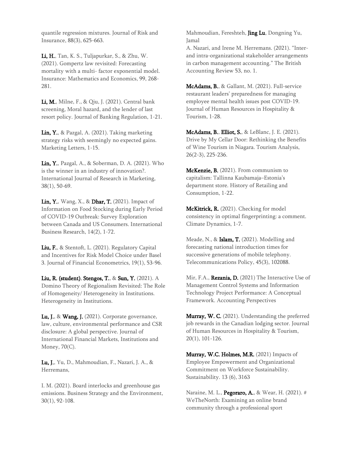quantile regression mixtures. Journal of Risk and Insurance, 88(3), 625-663.

Li, H., Tan, K. S., Tuljapurkar, S., & Zhu, W. (2021). Gompertz law revisited: Forecasting mortality with a multi- factor exponential model. Insurance: Mathematics and Economics, 99, 268- 281.

Li, M., Milne, F., & Qiu, J. (2021). Central bank screening, Moral hazard, and the lender of last resort policy. Journal of Banking Regulation, 1-21.

Lin, Y., & Pazgal, A. (2021). Taking marketing strategy risks with seemingly no expected gains. Marketing Letters, 1-15.

**Lin, Y.**, Pazgal, A., & Soberman, D. A. (2021). Who is the winner in an industry of innovation?. International Journal of Research in Marketing, 38(1), 50-69.

Lin, Y., Wang, X., & Dhar, T. (2021). Impact of Information on Food Stocking during Early Period of COVID-19 Outbreak: Survey Exploration between Canada and US Consumers. International Business Research, 14(2), 1-72.

Liu, F., & Stentoft, L. (2021). Regulatory Capital and Incentives for Risk Model Choice under Basel 3. Journal of Financial Econometrics, 19(1), 53-96.

Liu, R. (student), Stengos, T., & Sun, Y. (2021). A Domino Theory of Regionalism Revisited: The Role of Homogeneity/ Heterogeneity in Institutions. Heterogeneity in Institutions.

Lu, J.,  $\&$  Wang, J. (2021). Corporate governance, law, culture, environmental performance and CSR disclosure: A global perspective. Journal of International Financial Markets, Institutions and Money, 70(C).

Lu, J., Yu, D., Mahmoudian, F., Nazari, J. A., & Herremans,

I. M. (2021). Board interlocks and greenhouse gas emissions. Business Strategy and the Environment, 30(1), 92-108.

Mahmoudian, Fereshteh, Jing Lu, Dongning Yu, Jamal

A. Nazari, and Irene M. Herremans. (2021). "Interand intra-organizational stakeholder arrangements in carbon management accounting." The British Accounting Review 53, no. 1.

McAdams, B., & Gallant, M. (2021). Full-service restaurant leaders' preparedness for managing employee mental health issues post COVID-19. Journal of Human Resources in Hospitality & Tourism, 1-28.

McAdams, B., Elliot, S., & LeBlanc, J. E. (2021). Drive by My Cellar Door: Rethinking the Benefits of Wine Tourism in Niagara. Tourism Analysis, 26(2-3), 225-236.

McKenzie, B. (2021). From communism to capitalism: Tallinna Kaubamaja–Estonia's department store. History of Retailing and Consumption, 1-22.

McKitrick, R. (2021). Checking for model consistency in optimal fingerprinting: a comment. Climate Dynamics, 1-7.

Meade, N., & Islam, T. (2021). Modelling and forecasting national introduction times for successive generations of mobile telephony. Telecommunications Policy, 45(3), 102088.

Mir, F.A., Rezania, D. (2021) The Interactive Use of Management Control Systems and Information Technology Project Performance: A Conceptual Framework. Accounting Perspectives

Murray, W. C. (2021). Understanding the preferred job rewards in the Canadian lodging sector. Journal of Human Resources in Hospitality & Tourism, 20(1), 101-126.

Murray, W.C. Holmes, M.R. (2021) Impacts of Employee Empowerment and Organizational Commitment on Workforce Sustainability. Sustainability. 13 (6), 3163

Naraine, M. L., **Pegoraro, A.**, & Wear, H. (2021). # WeTheNorth: Examining an online brand community through a professional sport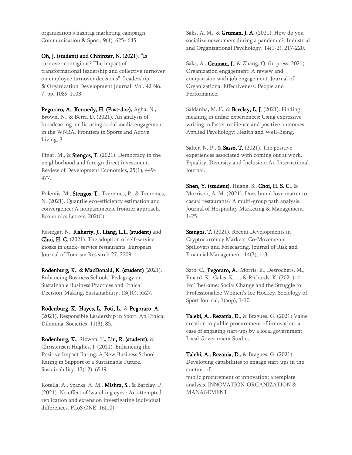organization's hashtag marketing campaign. Communication & Sport, 9(4), 625- 645.

#### Oh, J. (student) and Chhinzer, N. (2021), "Is

turnover contagious? The impact of transformational leadership and collective turnover on employee turnover decisions", Leadership & Organization Development Journal, Vol. 42 No. 7, pp. 1089-1103.

Pegoraro, A., Kennedy, H. (Post-doc), Agha, N., Brown, N., & Berri, D. (2021). An analysis of broadcasting media using social media engagement in the WNBA. Frontiers in Sports and Active Living, 3.

Pinar, M., & **Stengos, T.** (2021). Democracy in the neighborhood and foreign direct investment. Review of Development Economics, 25(1), 449- 477.

Polemis, M., Stengos, T., Tzeremes, P., & Tzeremes, N. (2021). Quantile eco-efficiency estimation and convergence: A nonparametric frontier approach. Economics Letters, 202(C).

Rastegar, N., Flaherty, J., Liang, L.L. (student) and Choi, H. C. (2021). The adoption of self-service kiosks in quick- service restaurants. European Journal of Tourism Research 27, 2709.

#### Rodenburg, K., & MacDonald, K. (student) (2021). Enhancing Business Schools' Pedagogy on Sustainable Business Practices and Ethical Decision-Making. Sustainability, 13(10), 5527.

#### Rodenburg, K., Hayes, L., Foti, L., & Pegoraro, A.

(2021). Responsible Leadership in Sport: An Ethical Dilemma. Societies, 11(3), 85.

Rodenburg, K., Rizwan, T., Liu, R. (student), & Christensen Hughes, J. (2021). Enhancing the Positive Impact Rating: A New Business School Rating in Support of a Sustainable Future. Sustainability, 13(12), 6519.

Rotella, A., Sparks, A. M., Mishra, S., & Barclay, P. (2021). No effect of 'watching eyes': An attempted replication and extension investigating individual differences. PLoS ONE, 16(10).

Saks, A. M., & Gruman, J. A. (2021). How do you socialize newcomers during a pandemic?. Industrial and Organizational Psychology, 14(1-2), 217-220.

Saks, A., **Gruman, J.**, & Zhang, Q. (in press, 2021). Organization engagement: A review and comparision with job engagement. Journal of Organizational Effectiveness: People and Performance.

Saldanha, M. F., & Barclay, L. J. (2021). Finding meaning in unfair experiences: Using expressive writing to foster resilience and positive outcomes. Applied Psychology: Health and Well-Being.

Salter, N. P.,  $\&$  Sasso, T. (2021). The positive experiences associated with coming out at work. Equality, Diversity and Inclusion: An International Journal.

Shen, Y. (student), Huang, S., Choi, H. S. C., & Morrison, A. M. (2021). Does brand love matter to casual restaurants? A multi-group path analysis. Journal of Hospitality Marketing & Management, 1-25.

**Stengos, T.** (2021). Recent Developments in Cryptocurrency Markets: Co-Movements, Spillovers and Forecasting. Journal of Risk and Financial Management, 14(3), 1-3.

Szto, C., Pegoraro, A., Morris, E., Desrochers, M., Emard, K., Galas, K., ... & Richards, K. (2021). # ForTheGame: Social Change and the Struggle to Professionalize Women's Ice Hockey. Sociology of Sport Journal, 1(aop), 1-10.

Talebi, A., Rezania, D., & Bragues, G. (2021) Value creation in public procurement of innovation: a case of engaging start-ups by a local government, Local Government Studies

Talebi, A., Rezania, D., & Bragues, G. (2021). Developing capabilities to engage start-ups in the context of public procurement of innovation: a template analysis. INNOVATION-ORGANIZATION & MANAGEMENT.